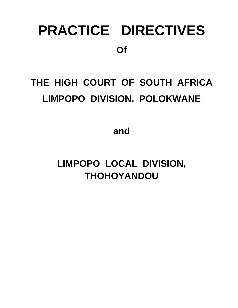# **PRACTICE DIRECTIVES Of**

## **THE HIGH COURT OF SOUTH AFRICA LIMPOPO DIVISION, POLOKWANE**

**and**

**LIMPOPO LOCAL DIVISION, THOHOYANDOU**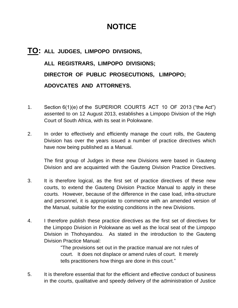### **NOTICE**

## **TO: ALL JUDGES, LIMPOPO DIVISIONS, ALL REGISTRARS, LIMPOPO DIVISIONS; DIRECTOR OF PUBLIC PROSECUTIONS, LIMPOPO; ADOVCATES AND ATTORNEYS.**

- 1. Section 6(1)(e) of the SUPERIOR COURTS ACT 10 OF 2013 ("the Act") assented to on 12 August 2013, establishes a Limpopo Division of the High Court of South Africa, with its seat in Polokwane.
- 2. In order to effectively and efficiently manage the court rolls, the Gauteng Division has over the years issued a number of practice directives which have now being published as a Manual.

The first group of Judges in these new Divisions were based in Gauteng Division and are acquainted with the Gauteng Division Practice Directives.

- 3. It is therefore logical, as the first set of practice directives of these new courts, to extend the Gauteng Division Practice Manual to apply in these courts. However, because of the difference in the case load, infra-structure and personnel, it is appropriate to commence with an amended version of the Manual, suitable for the existing conditions in the new Divisions.
- 4. I therefore publish these practice directives as the first set of directives for the Limpopo Division in Polokwane as well as the local seat of the Limpopo Division in Thohoyandou. As stated in the introduction to the Gauteng Division Practice Manual:

"The provisions set out in the practice manual are not rules of court. It does not displace or amend rules of court. It merely tells practitioners how things are done in this court."

5. It is therefore essential that for the efficient and effective conduct of business in the courts, qualitative and speedy delivery of the administration of Justice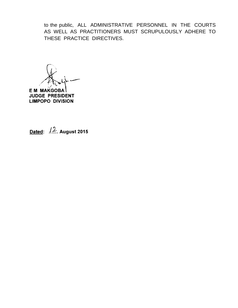to the public, ALL ADMINISTRATIVE PERSONNEL IN THE COURTS AS WELL AS PRACTITIONERS MUST SCRUPULOUSLY ADHERE TO THESE PRACTICE DIRECTIVES.

**EM MAKGOBA JUDGE PRESIDENT LIMPOPO DIVISION** 

Dated:  $/2$ . August 2015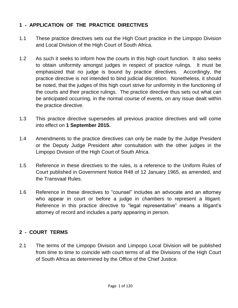#### **1 - APPLICATION OF THE PRACTICE DIRECTIVES**

- 1.1 These practice directives sets out the High Court practice in the Limpopo Division and Local Division of the High Court of South Africa.
- 1.2 As such it seeks to inform how the courts in this high court function. It also seeks to obtain uniformity amongst judges in respect of practice rulings. It must be emphasized that no judge is bound by practice directives. Accordingly, the practice directive is not intended to bind judicial discretion. Nonetheless, it should be noted, that the judges of this high court strive for uniformity in the functioning of the courts and their practice rulings. The practice directive thus sets out what can be anticipated occurring, in the normal course of events, on any issue dealt within the practice directive.
- 1.3 This practice directive supersedes all previous practice directives and will come into effect on **1 September 2015.**
- 1.4 Amendments to the practice directives can only be made by the Judge President or the Deputy Judge President after consultation with the other judges in the Limpopo Division of the High Court of South Africa.
- 1.5 Reference in these directives to the rules, is a reference to the Uniform Rules of Court published in Government Notice R48 of 12 January 1965, as amended, and the Transvaal Rules.
- 1.6 Reference in these directives to "counsel" includes an advocate and an attorney who appear in court or before a judge in chambers to represent a litigant. Reference in this practice directive to "legal representative" means a litigant's attorney of record and includes a party appearing in person.

#### **2 - COURT TERMS**

2.1 The terms of the Limpopo Division and Limpopo Local Division will be published from time to time to coincide with court terms of all the Divisions of the High Court of South Africa as determined by the Office of the Chief Justice.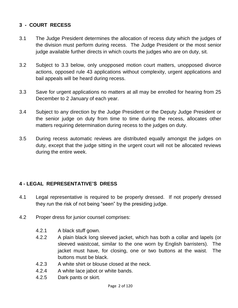#### **3 - COURT RECESS**

- 3.1 The Judge President determines the allocation of recess duty which the judges of the division must perform during recess. The Judge President or the most senior judge available further directs in which courts the judges who are on duty, sit.
- 3.2 Subject to 3.3 below, only unopposed motion court matters, unopposed divorce actions, opposed rule 43 applications without complexity, urgent applications and bail appeals will be heard during recess.
- 3.3 Save for urgent applications no matters at all may be enrolled for hearing from 25 December to 2 January of each year.
- 3.4 Subject to any direction by the Judge President or the Deputy Judge President or the senior judge on duty from time to time during the recess, allocates other matters requiring determination during recess to the judges on duty.
- 3.5 During recess automatic reviews are distributed equally amongst the judges on duty, except that the judge sitting in the urgent court will not be allocated reviews during the entire week.

#### **4 - LEGAL REPRESENTATIVE"S DRESS**

- 4.1 Legal representative is required to be properly dressed. If not properly dressed they run the risk of not being "seen" by the presiding judge.
- 4.2 Proper dress for junior counsel comprises:
	- 4.2.1 A black stuff gown.
	- 4.2.2 A plain black long sleeved jacket, which has both a collar and lapels (or sleeved waistcoat, similar to the one worn by English barristers). The jacket must have, for closing, one or two buttons at the waist. The buttons must be black.
	- 4.2.3 A white shirt or blouse closed at the neck.
	- 4.2.4 A white lace jabot or white bands.
	- 4.2.5 Dark pants or skirt.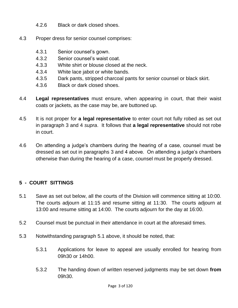- 4.2.6 Black or dark closed shoes.
- 4.3 Proper dress for senior counsel comprises:
	- 4.3.1 Senior counsel"s gown.
	- 4.3.2 Senior counsel"s waist coat.
	- 4.3.3 White shirt or blouse closed at the neck.
	- 4.3.4 White lace jabot or white bands.
	- 4.3.5 Dark pants, stripped charcoal pants for senior counsel or black skirt.
	- 4.3.6 Black or dark closed shoes.
- 4.4 **Legal representatives** must ensure, when appearing in court, that their waist coats or jackets, as the case may be, are buttoned up.
- 4.5 It is not proper for **a legal representative** to enter court not fully robed as set out in paragraph 3 and 4 *supra*. It follows that **a legal representative** should not robe in court.
- 4.6 On attending a judge"s chambers during the hearing of a case, counsel must be dressed as set out in paragraphs 3 and 4 above. On attending a judge"s chambers otherwise than during the hearing of a case, counsel must be properly dressed.

#### **5 - COURT SITTINGS**

- 5.1 Save as set out below, all the courts of the Division will commence sitting at 10:00. The courts adjourn at 11:15 and resume sitting at 11:30. The courts adjourn at 13:00 and resume sitting at 14:00. The courts adjourn for the day at 16:00.
- 5.2 Counsel must be punctual in their attendance in court at the aforesaid times.
- 5.3 Notwithstanding paragraph 5.1 above, it should be noted, that:
	- 5.3.1 Applications for leave to appeal are usually enrolled for hearing from 09h30 or 14h00.
	- 5.3.2 The handing down of written reserved judgments may be set down **from** 09h30.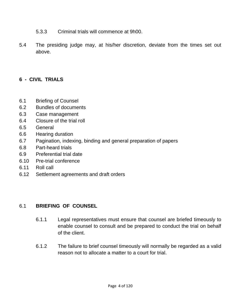- 5.3.3 Criminal trials will commence at 9h00.
- 5.4 The presiding judge may, at his/her discretion, deviate from the times set out above.

#### **6 - CIVIL TRIALS**

- 6.1 Briefing of Counsel
- 6.2 Bundles of documents
- 6.3 Case management
- 6.4 Closure of the trial roll
- 6.5 General
- 6.6 Hearing duration
- 6.7 Pagination, indexing, binding and general preparation of papers
- 6.8 Part-heard trials
- 6.9 Preferential trial date
- 6.10 Pre-trial conference
- 6.11 Roll call
- 6.12 Settlement agreements and draft orders

#### 6.1 **BRIEFING OF COUNSEL**

- 6.1.1 Legal representatives must ensure that counsel are briefed timeously to enable counsel to consult and be prepared to conduct the trial on behalf of the client.
- 6.1.2 The failure to brief counsel timeously will normally be regarded as a valid reason not to allocate a matter to a court for trial.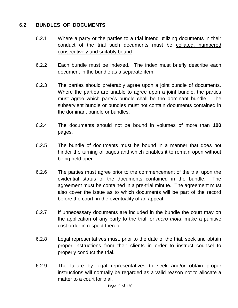#### 6.2 **BUNDLES OF DOCUMENTS**

- 6.2.1 Where a party or the parties to a trial intend utilizing documents in their conduct of the trial such documents must be collated, numbered consecutively and suitably bound.
- 6.2.2 Each bundle must be indexed. The index must briefly describe each document in the bundle as a separate item.
- 6.2.3 The parties should preferably agree upon a joint bundle of documents. Where the parties are unable to agree upon a joint bundle, the parties must agree which party"s bundle shall be the dominant bundle. The subservient bundle or bundles must not contain documents contained in the dominant bundle or bundles.
- 6.2.4 The documents should not be bound in volumes of more than **100** pages.
- 6.2.5 The bundle of documents must be bound in a manner that does not hinder the turning of pages and which enables it to remain open without being held open.
- 6.2.6 The parties must agree prior to the commencement of the trial upon the evidential status of the documents contained in the bundle. The agreement must be contained in a pre-trial minute. The agreement must also cover the issue as to which documents will be part of the record before the court, in the eventuality of an appeal.
- 6.2.7 If unnecessary documents are included in the bundle the court may on the application of any party to the trial, or *mero motu*, make a punitive cost order in respect thereof.
- 6.2.8 Legal representatives must, prior to the date of the trial, seek and obtain proper instructions from their clients in order to instruct counsel to properly conduct the trial.
- 6.2.9 The failure by legal representatives to seek and/or obtain proper instructions will normally be regarded as a valid reason not to allocate a matter to a court for trial.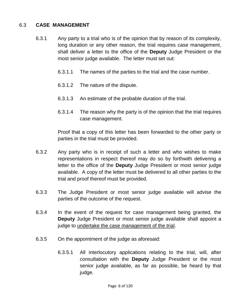#### 6.3 **CASE MANAGEMENT**

- 6.3.1 Any party to a trial who is of the opinion that by reason of its complexity, long duration or any other reason, the trial requires case management, shall deliver a letter to the office of the **Deputy** Judge President or the most senior judge available. The letter must set out:
	- 6.3.1.1 The names of the parties to the trial and the case number.
	- 6.3.1.2 The nature of the dispute.
	- 6.3.1.3 An estimate of the probable duration of the trial.
	- 6.3.1.4 The reason why the party is of the opinion that the trial requires case management.

Proof that a copy of this letter has been forwarded to the other party or parties in the trial must be provided.

- 6.3.2 Any party who is in receipt of such a letter and who wishes to make representations in respect thereof may do so by forthwith delivering a letter to the office of the **Deputy** Judge President or most senior judge available. A copy of the letter must be delivered to all other parties to the trial and proof thereof must be provided.
- 6.3.3 The Judge President or most senior judge available will advise the parties of the outcome of the request.
- 6.3.4 In the event of the request for case management being granted, the **Deputy** Judge President or most senior judge available shall appoint a judge to undertake the case management of the trial.
- 6.3.5 On the appointment of the judge as aforesaid:
	- 6.3.5.1 All interlocutory applications relating to the trial, will, after consultation with the **Deputy** Judge President or the most senior judge available, as far as possible, be heard by that judge.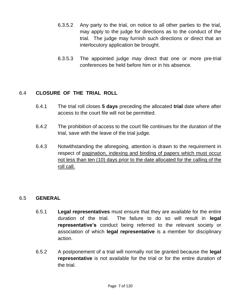- 6.3.5.2 Any party to the trial, on notice to all other parties to the trial, may apply to the judge for directions as to the conduct of the trial. The judge may furnish such directions or direct that an interlocutory application be brought.
- 6.3.5.3 The appointed judge may direct that one or more pre-trial conferences be held before him or in his absence.

#### 6.4 **CLOSURE OF THE TRIAL ROLL**

- 6.4.1 The trial roll closes **5 days** preceding the allocated **trial** date where after access to the court file will not be permitted.
- 6.4.2 The prohibition of access to the court file continues for the duration of the trial, save with the leave of the trial judge.
- 6.4.3 Notwithstanding the aforegoing, attention is drawn to the requirement in respect of pagination, indexing and binding of papers which must occur not less than ten (10) days prior to the date allocated for the calling of the roll call.

#### 6.5 **GENERAL**

- 6.5.1 **Legal representatives** must ensure that they are available for the entire duration of the trial. The failure to do so will result in **legal representative"s** conduct being referred to the relevant society or association of which **legal representative** is a member for disciplinary action.
- 6.5.2 A postponement of a trial will normally not be granted because the **legal representative** is not available for the trial or for the entire duration of the trial.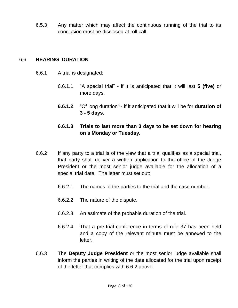6.5.3 Any matter which may affect the continuous running of the trial to its conclusion must be disclosed at roll call.

#### 6.6 **HEARING DURATION**

- 6.6.1 A trial is designated:
	- 6.6.1.1 "A special trial" if it is anticipated that it will last **5 (five)** or more days.
	- **6.6.1.2** "Of long duration" if it anticipated that it will be for **duration of 3 - 5 days.**

#### **6.6.1.3 Trials to last more than 3 days to be set down for hearing on a Monday or Tuesday.**

- 6.6.2 If any party to a trial is of the view that a trial qualifies as a special trial, that party shall deliver a written application to the office of the Judge President or the most senior judge available for the allocation of a special trial date. The letter must set out:
	- 6.6.2.1 The names of the parties to the trial and the case number.
	- 6.6.2.2 The nature of the dispute.
	- 6.6.2.3 An estimate of the probable duration of the trial.
	- 6.6.2.4 That a pre-trial conference in terms of rule 37 has been held and a copy of the relevant minute must be annexed to the letter.
- 6.6.3 The **Deputy Judge President** or the most senior judge available shall inform the parties in writing of the date allocated for the trial upon receipt of the letter that complies with 6.6.2 above.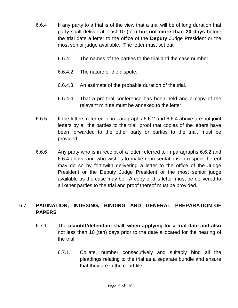- 6.6.4 If any party to a trial is of the view that a trial will be of long duration that party shall deliver at least 10 (ten) **but not more than 20 days** before the trial date a letter to the office of the **Deputy** Judge President or the most senior judge available. The letter must set out:
	- 6.6.4.1 The names of the parties to the trial and the case number.
	- 6.6.4.2 The nature of the dispute.
	- 6.6.4.3 An estimate of the probable duration of the trial.
	- 6.6.4.4 That a pre-trial conference has been held and a copy of the relevant minute must be annexed to the letter.
- 6.6.5 If the letters referred to in paragraphs 6.6.2 and 6.6.4 above are not joint letters by all the parties to the trial, proof that copies of the letters have been forwarded to the other party or parties to the trial, must be provided.
- 6.6.6 Any party who is in receipt of a letter referred to in paragraphs 6.6.2 and 6.6.4 above and who wishes to make representations in respect thereof may do so by forthwith delivering a letter to the office of the Judge President or the Deputy Judge President or the most senior judge available as the case may be. A copy of this letter must be delivered to all other parties to the trial and proof thereof must be provided.

#### 6.7 **PAGINATION, INDEXING, BINDING AND GENERAL PREPARATION OF PAPERS**

- 6.7.1 The **plaintiff/defendant** shall, **when applying for a trial date and also** not less than 10 (ten) days prior to the date allocated for the hearing of the trial:
	- 6.7.1.1 Collate, number consecutively and suitably bind all the pleadings relating to the trial as a separate bundle and ensure that they are in the court file.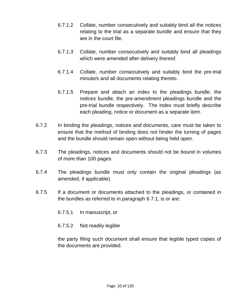- 6.7.1.2 Collate, number consecutively and suitably bind all the notices relating to the trial as a separate bundle and ensure that they are in the court file.
- 6.7.1.3 Collate, number consecutively and suitably bind all pleadings which were amended after delivery thereof.
- 6.7.1.4 Collate, number consecutively and suitably bind the pre-trial minute/s and all documents relating thereto.
- 6.7.1.5 Prepare and attach an index to the pleadings bundle, the notices bundle, the pre-amendment pleadings bundle and the pre-trial bundle respectively. The index must briefly describe each pleading, notice or document as a separate item.
- 6.7.2 In binding the pleadings, notices and documents, care must be taken to ensure that the method of binding does not hinder the turning of pages and the bundle should remain open without being held open.
- 6.7.3 The pleadings, notices and documents should not be bound in volumes of more than 100 pages.
- 6.7.4 The pleadings bundle must only contain the original pleadings (as amended, if applicable).
- 6.7.5 If a document or documents attached to the pleadings, or contained in the bundles as referred to in paragraph 6.7.1, is or are:
	- 6.7.5.1 In manuscript, or
	- 6.7.5.2 Not readily legible

the party filing such document shall ensure that legible typed copies of the documents are provided.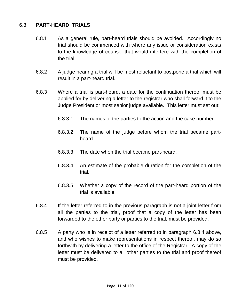#### 6.8 **PART-HEARD TRIALS**

- 6.8.1 As a general rule, part-heard trials should be avoided. Accordingly no trial should be commenced with where any issue or consideration exists to the knowledge of counsel that would interfere with the completion of the trial.
- 6.8.2 A judge hearing a trial will be most reluctant to postpone a trial which will result in a part-heard trial.
- 6.8.3 Where a trial is part-heard, a date for the continuation thereof must be applied for by delivering a letter to the registrar who shall forward it to the Judge President or most senior judge available. This letter must set out:
	- 6.8.3.1 The names of the parties to the action and the case number.
	- 6.8.3.2 The name of the judge before whom the trial became partheard.
	- 6.8.3.3 The date when the trial became part-heard.
	- 6.8.3.4 An estimate of the probable duration for the completion of the trial.
	- 6.8.3.5 Whether a copy of the record of the part-heard portion of the trial is available.
- 6.8.4 If the letter referred to in the previous paragraph is not a joint letter from all the parties to the trial, proof that a copy of the letter has been forwarded to the other party or parties to the trial, must be provided.
- 6.8.5 A party who is in receipt of a letter referred to in paragraph 6.8.4 above, and who wishes to make representations in respect thereof, may do so forthwith by delivering a letter to the office of the Registrar. A copy of the letter must be delivered to all other parties to the trial and proof thereof must be provided.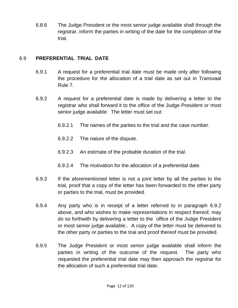6.8.6 The Judge President or the most senior judge available shall through the registrar, inform the parties in writing of the date for the completion of the trial.

#### 6.9 **PREFERENTIAL TRIAL DATE**

- 6.9.1 A request for a preferential trial date must be made only after following the procedure for the allocation of a trial date as set out in Transvaal Rule 7.
- 6.9.2 A request for a preferential date is made by delivering a letter to the registrar who shall forward it to the office of the Judge President or most senior judge available. The letter must set out:
	- 6.9.2.1 The names of the parties to the trial and the case number.
	- 6.9.2.2 The nature of the dispute.
	- 6.9.2.3 An estimate of the probable duration of the trial.
	- 6.9.2.4 The motivation for the allocation of a preferential date.
- 6.9.3 If the aforementioned letter is not a joint letter by all the parties to the trial, proof that a copy of the letter has been forwarded to the other party or parties to the trial, must be provided.
- 6.9.4 Any party who is in receipt of a letter referred to in paragraph 6.9.2 above, and who wishes to make representations in respect thereof, may do so forthwith by delivering a letter to the office of the Judge President or most senior judge available.. A copy of the letter must be delivered to the other party or parties to the trial and proof thereof must be provided.
- 6.9.5 The Judge President or most senior judge available shall inform the parties in writing of the outcome of the request. The party who requested the preferential trial date may then approach the registrar for the allocation of such a preferential trial date.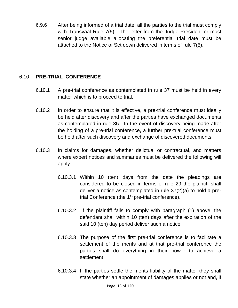6.9.6 After being informed of a trial date, all the parties to the trial must comply with Transvaal Rule 7(5). The letter from the Judge President or most senior judge available allocating the preferential trial date must be attached to the Notice of Set down delivered in terms of rule 7(5).

#### 6.10 **PRE-TRIAL CONFERENCE**

- 6.10.1 A pre-trial conference as contemplated in rule 37 must be held in every matter which is to proceed to trial.
- 6.10.2 In order to ensure that it is effective, a pre-trial conference must ideally be held after discovery and after the parties have exchanged documents as contemplated in rule 35. In the event of discovery being made after the holding of a pre-trial conference, a further pre-trial conference must be held after such discovery and exchange of discovered documents.
- 6.10.3 In claims for damages, whether delictual or contractual, and matters where expert notices and summaries must be delivered the following will apply:
	- 6.10.3.1 Within 10 (ten) days from the date the pleadings are considered to be closed in terms of rule 29 the plaintiff shall deliver a notice as contemplated in rule 37(2)(a) to hold a pretrial Conference (the  $1<sup>st</sup>$  pre-trial conference).
	- 6.10.3.2 If the plaintiff fails to comply with paragraph (1) above, the defendant shall within 10 (ten) days after the expiration of the said 10 (ten) day period deliver such a notice.
	- 6.10.3.3 The purpose of the first pre-trial conference is to facilitate a settlement of the merits and at that pre-trial conference the parties shall do everything in their power to achieve a settlement.
	- 6.10.3.4 If the parties settle the merits liability of the matter they shall state whether an appointment of damages applies or not and, if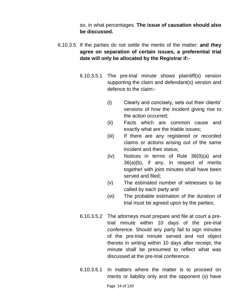so, in what percentages. **The issue of causation should also be discussed.**

- 6.10.3.5 If the parties do not settle the merits of the matter: **and they agree on separation of certain issues, a preferential trial date will only be allocated by the Registrar if:-**
	- 6.10.3.5.1 The pre-trial minute shows plaintiff(s) version supporting the claim and defendant(s) version and defence to the claim:-
		- (i) Clearly and concisely, sets out their clients" versions of how the incident giving rise to the action occurred;
		- (ii) Facts which are common cause and exactly what are the triable issues;
		- (iii) If there are any registered or recorded claims or actions arising out of the same incident and their status;
		- (iv) Notices in terms of Rule 36(9)(a) and 36(a)(b), if any, in respect of merits together with joint minutes shall have been served and filed;
		- (v) The estimated number of witnesses to be called by each party and
		- (vi) The probable estimation of the duration of trial must be agreed upon by the parties;
	- 6.10.3.5.2 The attorneys must prepare and file at court a pretrial minute within 10 days of the pre-trial conference. Should any party fail to sign minutes of the pre-trial minute served and not object thereto in writing within 10 days after receipt, the minute shall be presumed to reflect what was discussed at the pre-trial conference.
	- 6.10.3.6.1 In matters where the matter is to proceed on merits or liability only and the opponent (s) have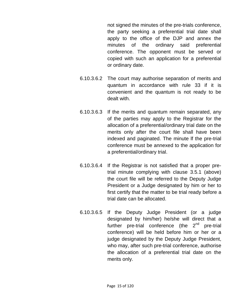not signed the minutes of the pre-trials conference, the party seeking a preferential trial date shall apply to the office of the DJP and annex the minutes of the ordinary said preferential conference. The opponent must be served or copied with such an application for a preferential or ordinary date.

- 6.10.3.6.2 The court may authorise separation of merits and quantum in accordance with rule 33 if it is convenient and the quantum is not ready to be dealt with.
- 6.10.3.6.3 If the merits and quantum remain separated, any of the parties may apply to the Registrar for the allocation of a preferential/ordinary trial date on the merits only after the court file shall have been indexed and paginated. The minute lf the pre-trial conference must be annexed to the application for a preferential/ordinary trial.
- 6.10.3.6.4 If the Registrar is not satisfied that a proper pretrial minute complying with clause 3.5.1 (above) the court file will be referred to the Deputy Judge President or a Judge designated by him or her to first certify that the matter to be trial ready before a trial date can be allocated.
- 6.10.3.6.5 If the Deputy Judge President (or a judge designated by him/her) he/she will direct that a further pre-trial conference (the  $2^{nd}$  pre-trial conference) will be held before him or her or a judge designated by the Deputy Judge President, who may, after such pre-trial conference, authorise the allocation of a preferential trial date on the merits only.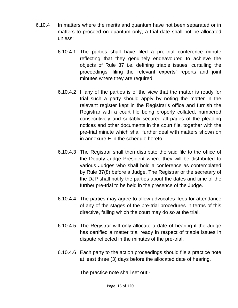- 6.10.4 In matters where the merits and quantum have not been separated or in matters to proceed on quantum only, a trial date shall not be allocated unless;
	- 6.10.4.1 The parties shall have filed a pre-trial conference minute reflecting that they genuinely endeavoured to achieve the objects of Rule 37 i.e. defining triable issues, curtailing the proceedings, filing the relevant experts" reports and joint minutes where they are required.
	- 6.10.4.2 If any of the parties is of the view that the matter is ready for trial such a party should apply by noting the matter in the relevant register kept in the Registrar"s office and furnish the Registrar with a court file being properly collated, numbered consecutively and suitably secured all pages of the pleading notices and other documents in the court file, together with the pre-trial minute which shall further deal with matters shown on in annexure E in the schedule hereto.
	- 6.10.4.3 The Registrar shall then distribute the said file to the office of the Deputy Judge President where they will be distributed to various Judges who shall hold a conference as contemplated by Rule 37(8) before a Judge. The Registrar or the secretary of the DJP shall notify the parties about the dates and time of the further pre-trial to be held in the presence of the Judge.
	- 6.10.4.4 The parties may agree to allow advocates "fees for attendance of any of the stages of the pre-trial procedures in terms of this directive, failing which the court may do so at the trial.
	- 6.10.4.5 The Registrar will only allocate a date of hearing if the Judge has certified a matter trial ready in respect of triable issues in dispute reflected in the minutes of the pre-trial.
	- 6.10.4.6 Each party to the action proceedings should file a practice note at least three (3) days before the allocated date of hearing.

The practice note shall set out:-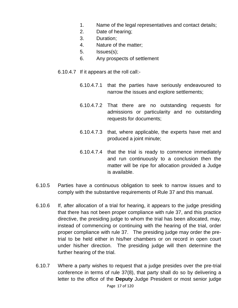- 1. Name of the legal representatives and contact details;
- 2. Date of hearing;
- 3. Duration;
- 4. Nature of the matter;
- 5. Issues(s);
- 6. Any prospects of settlement
- 6.10.4.7 If it appears at the roll call:-
	- 6.10.4.7.1 that the parties have seriously endeavoured to narrow the issues and explore settlements;
	- 6.10.4.7.2 That there are no outstanding requests for admissions or particularity and no outstanding requests for documents;
	- 6.10.4.7.3 that, where applicable, the experts have met and produced a joint minute;
	- 6.10.4.7.4 that the trial is ready to commence immediately and run continuously to a conclusion then the matter will be ripe for allocation provided a Judge is available.
- 6.10.5 Parties have a continuous obligation to seek to narrow issues and to comply with the substantive requirements of Rule 37 and this manual.
- 6.10.6 If, after allocation of a trial for hearing, it appears to the judge presiding that there has not been proper compliance with rule 37, and this practice directive, the presiding judge to whom the trial has been allocated, may, instead of commencing or continuing with the hearing of the trial, order proper compliance with rule 37. The presiding judge may order the pretrial to be held either in his/her chambers or on record in open court under his/her direction. The presiding judge will then determine the further hearing of the trial.
- Page 17 of 120 6.10.7 Where a party wishes to request that a judge presides over the pre-trial conference in terms of rule 37(8), that party shall do so by delivering a letter to the office of the **Deputy** Judge President or most senior judge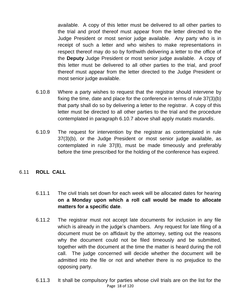available. A copy of this letter must be delivered to all other parties to the trial and proof thereof must appear from the letter directed to the Judge President or most senior judge available. Any party who is in receipt of such a letter and who wishes to make representations in respect thereof may do so by forthwith delivering a letter to the office of the **Deputy** Judge President or most senior judge available. A copy of this letter must be delivered to all other parties to the trial, and proof thereof must appear from the letter directed to the Judge President or most senior judge available.

- 6.10.8 Where a party wishes to request that the registrar should intervene by fixing the time, date and place for the conference in terms of rule 37(3)(b) that party shall do so by delivering a letter to the registrar. A copy of this letter must be directed to all other parties to the trial and the procedure contemplated in paragraph 6.10.7 above shall apply *mutatis mutandis*.
- 6.10.9 The request for intervention by the registrar as contemplated in rule 37(3)(b), or the Judge President or most senior judge available, as contemplated in rule 37(8), must be made timeously and preferably before the time prescribed for the holding of the conference has expired.

#### 6.11 **ROLL CALL**

- 6.11.1 The civil trials set down for each week will be allocated dates for hearing **on a Monday upon which a roll call would be made to allocate matters for a specific date**.
- 6.11.2 The registrar must not accept late documents for inclusion in any file which is already in the judge's chambers. Any request for late filing of a document must be on affidavit by the attorney, setting out the reasons why the document could not be filed timeously and be submitted, together with the document at the time the matter is heard during the roll call. The judge concerned will decide whether the document will be admitted into the file or not and whether there is no prejudice to the opposing party.
- Page 18 of 120 6.11.3 It shall be compulsory for parties whose civil trials are on the list for the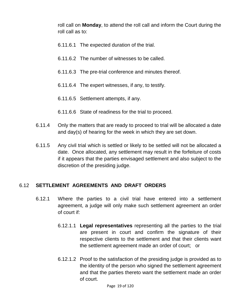roll call on **Monday**, to attend the roll call and inform the Court during the roll call as to:

- 6.11.6.1 The expected duration of the trial.
- 6.11.6.2 The number of witnesses to be called.
- 6.11.6.3 The pre-trial conference and minutes thereof.
- 6.11.6.4 The expert witnesses, if any, to testify.
- 6.11.6.5 Settlement attempts, if any.
- 6.11.6.6 State of readiness for the trial to proceed.
- 6.11.4 Only the matters that are ready to proceed to trial will be allocated a date and day(s) of hearing for the week in which they are set down.
- 6.11.5 Any civil trial which is settled or likely to be settled will not be allocated a date. Once allocated, any settlement may result in the forfeiture of costs if it appears that the parties envisaged settlement and also subject to the discretion of the presiding judge.

#### 6.12 **SETTLEMENT AGREEMENTS AND DRAFT ORDERS**

- 6.12.1 Where the parties to a civil trial have entered into a settlement agreement, a judge will only make such settlement agreement an order of court if:
	- 6.12.1.1 **Legal representatives** representing all the parties to the trial are present in court and confirm the signature of their respective clients to the settlement and that their clients want the settlement agreement made an order of court; or
	- 6.12.1.2 Proof to the satisfaction of the presiding judge is provided as to the identity of the person who signed the settlement agreement and that the parties thereto want the settlement made an order of court.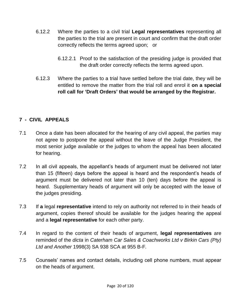- 6.12.2 Where the parties to a civil trial **Legal representatives** representing all the parties to the trial are present in court and confirm that the draft order correctly reflects the terms agreed upon; or
	- 6.12.2.1 Proof to the satisfaction of the presiding judge is provided that the draft order correctly reflects the terms agreed upon.
- 6.12.3 Where the parties to a trial have settled before the trial date, they will be entitled to remove the matter from the trial roll and enrol it **on a special roll call for "Draft Orders" that would be arranged by the Registrar.**

#### **7 - CIVIL APPEALS**

- 7.1 Once a date has been allocated for the hearing of any civil appeal, the parties may not agree to postpone the appeal without the leave of the Judge President, the most senior judge available or the judges to whom the appeal has been allocated for hearing.
- 7.2 In all civil appeals, the appellant"s heads of argument must be delivered not later than 15 (fifteen) days before the appeal is heard and the respondent"s heads of argument must be delivered not later than 10 (ten) days before the appeal is heard. Supplementary heads of argument will only be accepted with the leave of the judges presiding.
- 7.3 If **a** legal **representative** intend to rely on authority not referred to in their heads of argument, copies thereof should be available for the judges hearing the appeal and a **legal representative** for each other party.
- 7.4 In regard to the content of their heads of argument, **legal representatives** are reminded of the *dicta* in *Caterham Car Sales & Coachworks Ltd v Birkin Cars (Pty) Ltd and Another* 1998(3) SA 938 SCA at 955 B-F*.*
- 7.5 Counsels" names and contact details, including cell phone numbers, must appear on the heads of argument.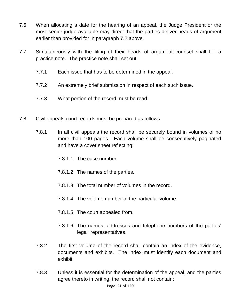- 7.6 When allocating a date for the hearing of an appeal, the Judge President or the most senior judge available may direct that the parties deliver heads of argument earlier than provided for in paragraph 7.2 above.
- 7.7 Simultaneously with the filing of their heads of argument counsel shall file a practice note. The practice note shall set out:
	- 7.7.1 Each issue that has to be determined in the appeal.
	- 7.7.2 An extremely brief submission in respect of each such issue.
	- 7.7.3 What portion of the record must be read.
- 7.8 Civil appeals court records must be prepared as follows:
	- 7.8.1 In all civil appeals the record shall be securely bound in volumes of no more than 100 pages. Each volume shall be consecutively paginated and have a cover sheet reflecting:
		- 7.8.1.1 The case number.
		- 7.8.1.2 The names of the parties.
		- 7.8.1.3 The total number of volumes in the record.
		- 7.8.1.4 The volume number of the particular volume.
		- 7.8.1.5 The court appealed from.
		- 7.8.1.6 The names, addresses and telephone numbers of the parties" legal representatives.
	- 7.8.2 The first volume of the record shall contain an index of the evidence, documents and exhibits. The index must identify each document and exhibit.
	- 7.8.3 Unless it is essential for the determination of the appeal, and the parties agree thereto in writing, the record shall not contain: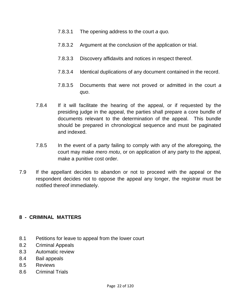- 7.8.3.1 The opening address to the court *a quo.*
- 7.8.3.2 Argument at the conclusion of the application or trial.
- 7.8.3.3 Discovery affidavits and notices in respect thereof.
- 7.8.3.4 Identical duplications of any document contained in the record.
- 7.8.3.5 Documents that were not proved or admitted in the court *a quo*.
- 7.8.4 If it will facilitate the hearing of the appeal, or if requested by the presiding judge in the appeal, the parties shall prepare a core bundle of documents relevant to the determination of the appeal. This bundle should be prepared in chronological sequence and must be paginated and indexed.
- 7.8.5 In the event of a party failing to comply with any of the aforegoing, the court may make *mero motu*, or on application of any party to the appeal, make a punitive cost order.
- 7.9 If the appellant decides to abandon or not to proceed with the appeal or the respondent decides not to oppose the appeal any longer, the registrar must be notified thereof immediately.

#### **8 - CRIMINAL MATTERS**

- 8.1 Petitions for leave to appeal from the lower court
- 8.2 Criminal Appeals
- 8.3 Automatic review
- 8.4 Bail appeals
- 8.5 Reviews
- 8.6 Criminal Trials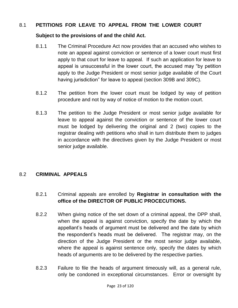#### 8.1 **PETITIONS FOR LEAVE TO APPEAL FROM THE LOWER COURT**

#### **Subject to the provisions of and the child Act.**

- 8.1.1 The Criminal Procedure Act now provides that an accused who wishes to note an appeal against conviction or sentence of a lower court must first apply to that court for leave to appeal. If such an application for leave to appeal is unsuccessful in the lower court, the accused may "by petition apply to the Judge President or most senior judge available of the Court having jurisdiction" for leave to appeal (section 309B and 309C).
- 8.1.2 The petition from the lower court must be lodged by way of petition procedure and not by way of notice of motion to the motion court.
- 8.1.3 The petition to the Judge President or most senior judge available for leave to appeal against the conviction or sentence of the lower court must be lodged by delivering the original and 2 (two) copies to the registrar dealing with petitions who shall in turn distribute them to judges in accordance with the directives given by the Judge President or most senior judge available.

#### 8.2 **CRIMINAL APPEALS**

- 8.2.1 Criminal appeals are enrolled by **Registrar in consultation with the office of the DIRECTOR OF PUBLIC PROCECUTIONS.**
- 8.2.2 When giving notice of the set down of a criminal appeal, the DPP shall, when the appeal is against conviction, specify the date by which the appellant"s heads of argument must be delivered and the date by which the respondent"s heads must be delivered. The registrar may, on the direction of the Judge President or the most senior judge available, where the appeal is against sentence only, specify the dates by which heads of arguments are to be delivered by the respective parties.
- 8.2.3 Failure to file the heads of argument timeously will, as a general rule, only be condoned in exceptional circumstances. Error or oversight by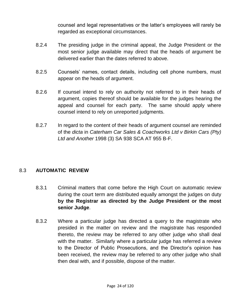counsel and legal representatives or the latter"s employees will rarely be regarded as exceptional circumstances.

- 8.2.4 The presiding judge in the criminal appeal, the Judge President or the most senior judge available may direct that the heads of argument be delivered earlier than the dates referred to above.
- 8.2.5 Counsels" names, contact details, including cell phone numbers, must appear on the heads of argument.
- 8.2.6 If counsel intend to rely on authority not referred to in their heads of argument, copies thereof should be available for the judges hearing the appeal and counsel for each party. The same should apply where counsel intend to rely on unreported judgments.
- 8.2.7 In regard to the content of their heads of argument counsel are reminded of the *dicta* in *Caterham Car Sales & Coachworks Ltd v Birkin Cars (Pty) Ltd and Another* 1998 (3) SA 938 SCA AT 955 B-F.

#### 8.3 **AUTOMATIC REVIEW**

- 8.3.1 Criminal matters that come before the High Court on automatic review during the court term are distributed equally amongst the judges on duty **by the Registrar as directed by the Judge President or the most senior Judge**.
- 8.3.2 Where a particular judge has directed a query to the magistrate who presided in the matter on review and the magistrate has responded thereto, the review may be referred to any other judge who shall deal with the matter. Similarly where a particular judge has referred a review to the Director of Public Prosecutions, and the Director"s opinion has been received, the review may be referred to any other judge who shall then deal with, and if possible, dispose of the matter.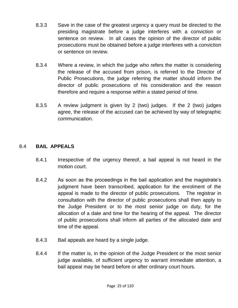- 8.3.3 Save in the case of the greatest urgency a query must be directed to the presiding magistrate before a judge interferes with a conviction or sentence on review. In all cases the opinion of the director of public prosecutions must be obtained before a judge interferes with a conviction or sentence on review.
- 8.3.4 Where a review, in which the judge who refers the matter is considering the release of the accused from prison, is referred to the Director of Public Prosecutions, the judge referring the matter should inform the director of public prosecutions of his consideration and the reason therefore and require a response within a stated period of time.
- 8.3.5 A review judgment is given by 2 (two) judges. If the 2 (two) judges agree, the release of the accused can be achieved by way of telegraphic communication.

#### 8.4 **BAIL APPEALS**

- 8.4.1 Irrespective of the urgency thereof, a bail appeal is not heard in the motion court.
- 8.4.2 As soon as the proceedings in the bail application and the magistrate"s judgment have been transcribed, application for the enrolment of the appeal is made to the director of public prosecutions. The registrar in consultation with the director of public prosecutions shall then apply to the Judge President or to the most senior judge on duty, for the allocation of a date and time for the hearing of the appeal. The director of public prosecutions shall inform all parties of the allocated date and time of the appeal.
- 8.4.3 Bail appeals are heard by a single judge.
- 8.4.4 If the matter is, in the opinion of the Judge President or the most senior judge available, of sufficient urgency to warrant immediate attention, a bail appeal may be heard before or after ordinary court hours.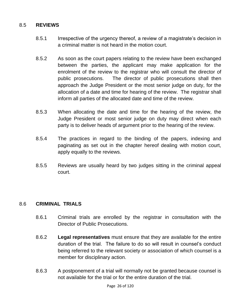#### 8.5 **REVIEWS**

- 8.5.1 Irrespective of the urgency thereof, a review of a magistrate"s decision in a criminal matter is not heard in the motion court.
- 8.5.2 As soon as the court papers relating to the review have been exchanged between the parties, the applicant may make application for the enrolment of the review to the registrar who will consult the director of public prosecutions. The director of public prosecutions shall then approach the Judge President or the most senior judge on duty, for the allocation of a date and time for hearing of the review. The registrar shall inform all parties of the allocated date and time of the review.
- 8.5.3 When allocating the date and time for the hearing of the review, the Judge President or most senior judge on duty may direct when each party is to deliver heads of argument prior to the hearing of the review.
- 8.5.4 The practices in regard to the binding of the papers, indexing and paginating as set out in the chapter hereof dealing with motion court, apply equally to the reviews.
- 8.5.5 Reviews are usually heard by two judges sitting in the criminal appeal court.

#### 8.6 **CRIMINAL TRIALS**

- 8.6.1 Criminal trials are enrolled by the registrar in consultation with the Director of Public Prosecutions.
- 8.6.2 **Legal representatives** must ensure that they are available for the entire duration of the trial. The failure to do so will result in counsel"s conduct being referred to the relevant society or association of which counsel is a member for disciplinary action.
- 8.6.3 A postponement of a trial will normally not be granted because counsel is not available for the trial or for the entire duration of the trial.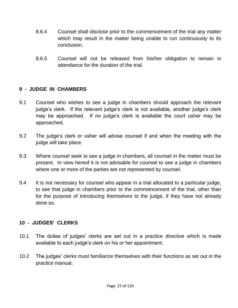- 8.6.4 Counsel shall disclose prior to the commencement of the trial any matter which may result in the matter being unable to run continuously to its conclusion.
- 8.6.5 Counsel will not be released from his/her obligation to remain in attendance for the duration of the trial.

#### **9 - JUDGE IN CHAMBERS**

- 9.1 Counsel who wishes to see a judge in chambers should approach the relevant judge's clerk. If the relevant judge's clerk is not available, another judge's clerk may be approached. If no judge's clerk is available the court usher may be approached.
- 9.2 The judge"s clerk or usher will advise counsel if and when the meeting with the judge will take place.
- 9.3 Where counsel seek to see a judge in chambers, all counsel in the matter must be present. In view hereof it is not advisable for counsel to see a judge in chambers where one or more of the parties are not represented by counsel.
- 9.4 It is not necessary for counsel who appear in a trial allocated to a particular judge, to see that judge in chambers prior to the commencement of the trial, other than for the purpose of introducing themselves to the judge, if they have not already done so.

#### **10 - JUDGES" CLERKS**

- 10.1 The duties of judges' clerks are set out in a practice directive which is made available to each judge"s clerk on his or her appointment.
- 10.2 The judges' clerks must familiarize themselves with their functions as set out in the practice manual.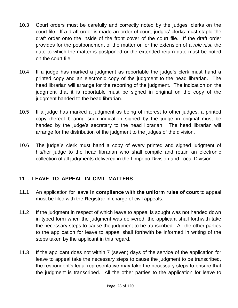- 10.3 Court orders must be carefully and correctly noted by the judges' clerks on the court file. If a draft order is made an order of court, judges' clerks must staple the draft order onto the inside of the front cover of the court file. If the draft order provides for the postponement of the matter or for the extension of a *rule nisi*, the date to which the matter is postponed or the extended return date must be noted on the court file.
- 10.4 If a judge has marked a judgment as reportable the judge"s clerk must hand a printed copy and an electronic copy of the judgment to the head librarian. The head librarian will arrange for the reporting of the judgment. The indication on the judgment that it is reportable must be signed in original on the copy of the judgment handed to the head librarian.
- 10.5 If a judge has marked a judgment as being of interest to other judges, a printed copy thereof bearing such indication signed by the judge in original must be handed by the judge's secretary to the head librarian. The head librarian will arrange for the distribution of the judgment to the judges of the division.
- 10.6 The judge`s clerk must hand a copy of every printed and signed judgment of his/her judge to the head librarian who shall compile and retain an electronic collection of all judgments delivered in the Limpopo Division and Local Division.

#### **11 - LEAVE TO APPEAL IN CIVIL MATTERS**

- 11.1 An application for leave **in compliance with the uniform rules of court** to appeal must be filed with the **R**egistrar in charge of civil appeals.
- 11.2 If the judgment in respect of which leave to appeal is sought was not handed down in typed form when the judgment was delivered, the applicant shall forthwith take the necessary steps to cause the judgment to be transcribed. All the other parties to the application for leave to appeal shall forthwith be informed in writing of the steps taken by the applicant in this regard.
- 11.3 If the applicant does not within 7 (seven) days of the service of the application for leave to appeal take the necessary steps to cause the judgment to be transcribed, the respondent"s legal representative may take the necessary steps to ensure that the judgment is transcribed. All the other parties to the application for leave to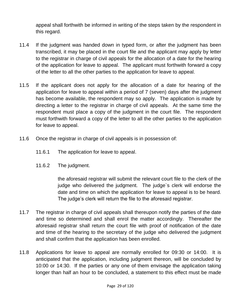appeal shall forthwith be informed in writing of the steps taken by the respondent in this regard.

- 11.4 If the judgment was handed down in typed form, or after the judgment has been transcribed, it may be placed in the court file and the applicant may apply by letter to the registrar in charge of civil appeals for the allocation of a date for the hearing of the application for leave to appeal. The applicant must forthwith forward a copy of the letter to all the other parties to the application for leave to appeal.
- 11.5 If the applicant does not apply for the allocation of a date for hearing of the application for leave to appeal within a period of 7 (seven) days after the judgment has become available, the respondent may so apply. The application is made by directing a letter to the registrar in charge of civil appeals. At the same time the respondent must place a copy of the judgment in the court file. The respondent must forthwith forward a copy of the letter to all the other parties to the application for leave to appeal.
- 11.6 Once the registrar in charge of civil appeals is in possession of:
	- 11.6.1 The application for leave to appeal.
	- 11.6.2 The judgment.

the aforesaid registrar will submit the relevant court file to the clerk of the judge who delivered the judgment. The judge`s clerk will endorse the date and time on which the application for leave to appeal is to be heard. The judge's clerk will return the file to the aforesaid registrar.

- 11.7 The registrar in charge of civil appeals shall thereupon notify the parties of the date and time so determined and shall enrol the matter accordingly. Thereafter the aforesaid registrar shall return the court file with proof of notification of the date and time of the hearing to the secretary of the judge who delivered the judgment and shall confirm that the application has been enrolled.
- 11.8 Applications for leave to appeal are normally enrolled for 09:30 or 14:00. It is anticipated that the application, including judgment thereon, will be concluded by 10:00 or 14:30. If the parties or any one of them envisage the application taking longer than half an hour to be concluded, a statement to this effect must be made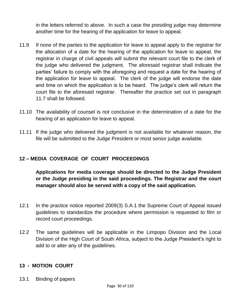in the letters referred to above. In such a case the presiding judge may determine another time for the hearing of the application for leave to appeal.

- 11.9 If none of the parties to the application for leave to appeal apply to the registrar for the allocation of a date for the hearing of the application for leave to appeal, the registrar in charge of civil appeals will submit the relevant court file to the clerk of the judge who delivered the judgment. The aforesaid registrar shall indicate the parties" failure to comply with the aforegoing and request a date for the hearing of the application for leave to appeal. The clerk of the judge will endorse the date and time on which the application is to be heard. The judge's clerk will return the court file to the aforesaid registrar. Thereafter the practice set out in paragraph 11.7 shall be followed.
- 11.10 The availability of counsel is not conclusive in the determination of a date for the hearing of an application for leave to appeal.
- 11.11 If the judge who delivered the judgment is not available for whatever reason, the file will be submitted to the Judge President or most senior judge available.

#### **12 – MEDIA COVERAGE OF COURT PROCEEDINGS**

**Applications for media coverage should be directed to the Judge President or the Judge presiding in the said proceedings. The Registrar and the court manager should also be served with a copy of the said application.** 

- 12.1 In the practice notice reported 2009(3) S.A.1 the Supreme Court of Appeal issued guidelines to standardize the procedure where permission is requested to film or record court proceedings.
- 12.2 The same guidelines will be applicable in the Limpopo Division and the Local Division of the High Court of South Africa, subject to the Judge President"s right to add to or alter any of the guidelines.

#### **13 - MOTION COURT**

13.1 Binding of papers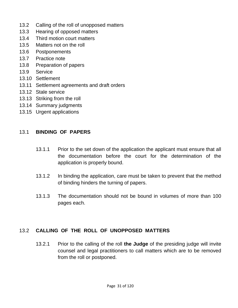- 13.2 Calling of the roll of unopposed matters
- 13.3 Hearing of opposed matters
- 13.4 Third motion court matters
- 13.5 Matters not on the roll
- 13.6 Postponements
- 13.7 Practice note
- 13.8 Preparation of papers
- 13.9 Service
- 13.10 Settlement
- 13.11 Settlement agreements and draft orders
- 13.12 Stale service
- 13.13 Striking from the roll
- 13.14 Summary judgments
- 13.15 Urgent applications

#### 13.1 **BINDING OF PAPERS**

- 13.1.1 Prior to the set down of the application the applicant must ensure that all the documentation before the court for the determination of the application is properly bound.
- 13.1.2 In binding the application, care must be taken to prevent that the method of binding hinders the turning of papers.
- 13.1.3 The documentation should not be bound in volumes of more than 100 pages each.

#### 13.2 **CALLING OF THE ROLL OF UNOPPOSED MATTERS**

13.2.1 Prior to the calling of the roll **the Judge** of the presiding judge will invite counsel and legal practitioners to call matters which are to be removed from the roll or postponed.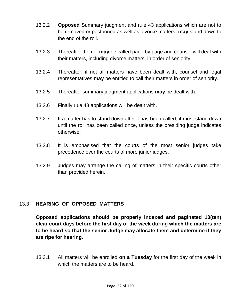- 13.2.2 **Opposed** Summary judgment and rule 43 applications which are not to be removed or postponed as well as divorce matters, **may** stand down to the end of the roll.
- 13.2.3 Thereafter the roll **may** be called page by page and counsel will deal with their matters, including divorce matters, in order of seniority.
- 13.2.4 Thereafter, if not all matters have been dealt with, counsel and legal representatives **may** be entitled to call their matters in order of seniority.
- 13.2.5 Thereafter summary judgment applications **may** be dealt with.
- 13.2.6 Finally rule 43 applications will be dealt with.
- 13.2.7 If a matter has to stand down after it has been called, it must stand down until the roll has been called once, unless the presiding judge indicates otherwise.
- 13.2.8 It is emphasised that the courts of the most senior judges take precedence over the courts of more junior judges.
- 13.2.9 Judges may arrange the calling of matters in their specific courts other than provided herein.

#### 13.3 **HEARING OF OPPOSED MATTERS**

**Opposed applications should be properly indexed and paginated 10(ten) clear court days before the first day of the week during which the matters are to be heard so that the senior Judge may allocate them and determine if they are ripe for hearing.**

13.3.1 All matters will be enrolled **on a Tuesday** for the first day of the week in which the matters are to be heard.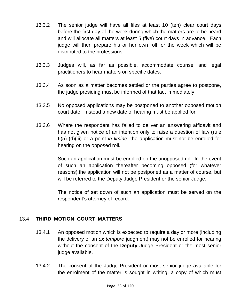- 13.3.2 The senior judge will have all files at least 10 (ten) clear court days before the first day of the week during which the matters are to be heard and will allocate all matters at least 5 (five) court days in advance. Each judge will then prepare his or her own roll for the week which will be distributed to the professions.
- 13.3.3 Judges will, as far as possible, accommodate counsel and legal practitioners to hear matters on specific dates.
- 13.3.4 As soon as a matter becomes settled or the parties agree to postpone, the judge presiding must be informed of that fact immediately.
- 13.3.5 No opposed applications may be postponed to another opposed motion court date. Instead a new date of hearing must be applied for.
- 13.3.6 Where the respondent has failed to deliver an answering affidavit and has not given notice of an intention only to raise a question of law (rule 6(5) (d)(iii) or a point *in limine*, the application must not be enrolled for hearing on the opposed roll.

Such an application must be enrolled on the unopposed roll. In the event of such an application thereafter becoming opposed (for whatever reasons),the application will not be postponed as a matter of course, but will be referred to the Deputy Judge President or the senior Judge.

The notice of set down of such an application must be served on the respondent"s attorney of record.

#### 13.4 **THIRD MOTION COURT MATTERS**

- 13.4.1 An opposed motion which is expected to require a day or more (including the delivery of an *ex tempore* judgment) may not be enrolled for hearing without the consent of the **Deputy** Judge President or the most senior judge available.
- 13.4.2 The consent of the Judge President or most senior judge available for the enrolment of the matter is sought in writing, a copy of which must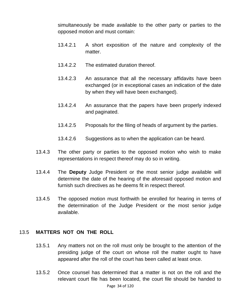simultaneously be made available to the other party or parties to the opposed motion and must contain:

- 13.4.2.1 A short exposition of the nature and complexity of the matter.
- 13.4.2.2 The estimated duration thereof.
- 13.4.2.3 An assurance that all the necessary affidavits have been exchanged (or in exceptional cases an indication of the date by when they will have been exchanged).
- 13.4.2.4 An assurance that the papers have been properly indexed and paginated.
- 13.4.2.5 Proposals for the filing of heads of argument by the parties.
- 13.4.2.6 Suggestions as to when the application can be heard.
- 13.4.3 The other party or parties to the opposed motion who wish to make representations in respect thereof may do so in writing.
- 13.4.4 The **Deputy** Judge President or the most senior judge available will determine the date of the hearing of the aforesaid opposed motion and furnish such directives as he deems fit in respect thereof.
- 13.4.5 The opposed motion must forthwith be enrolled for hearing in terms of the determination of the Judge President or the most senior judge available.

#### 13.5 **MATTERS NOT ON THE ROLL**

- 13.5.1 Any matters not on the roll must only be brought to the attention of the presiding judge of the court on whose roll the matter ought to have appeared after the roll of the court has been called at least once.
- Page 34 of 120 13.5.2 Once counsel has determined that a matter is not on the roll and the relevant court file has been located, the court file should be handed to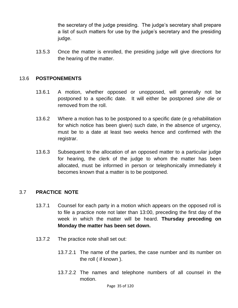the secretary of the judge presiding. The judge"s secretary shall prepare a list of such matters for use by the judge"s secretary and the presiding judge.

13.5.3 Once the matter is enrolled, the presiding judge will give directions for the hearing of the matter.

#### 13.6 **POSTPONEMENTS**

- 13.6.1 A motion, whether opposed or unopposed, will generally not be postponed to a specific date. It will either be postponed *sine die* or removed from the roll.
- 13.6.2 Where a motion has to be postponed to a specific date (e g rehabilitation for which notice has been given) such date, in the absence of urgency, must be to a date at least two weeks hence and confirmed with the registrar.
- 13.6.3 Subsequent to the allocation of an opposed matter to a particular judge for hearing, the clerk of the judge to whom the matter has been allocated, must be informed in person or telephonically immediately it becomes known that a matter is to be postponed.

#### 3.7 **PRACTICE NOTE**

- 13.7.1 Counsel for each party in a motion which appears on the opposed roll is to file a practice note not later than 13:00, preceding the first day of the week in which the matter will be heard. **Thursday preceding on Monday the matter has been set down.**
- 13.7.2 The practice note shall set out:
	- 13.7.2.1 The name of the parties, the case number and its number on the roll ( if known ).
	- 13.7.2.2 The names and telephone numbers of all counsel in the motion.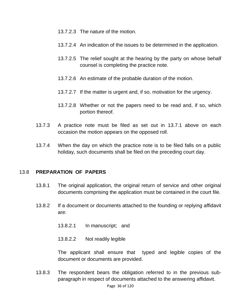- 13.7.2.3 The nature of the motion.
- 13.7.2.4 An indication of the issues to be determined in the application.
- 13.7.2.5 The relief sought at the hearing by the party on whose behalf counsel is completing the practice note.
- 13.7.2.6 An estimate of the probable duration of the motion.
- 13.7.2.7 If the matter is urgent and, if so, motivation for the urgency.
- 13.7.2.8 Whether or not the papers need to be read and, if so, which portion thereof.
- 13.7.3 A practice note must be filed as set out in 13.7.1 above on each occasion the motion appears on the opposed roll.
- 13.7.4 When the day on which the practice note is to be filed falls on a public holiday, such documents shall be filed on the preceding court day.

#### 13.8 **PREPARATION OF PAPERS**

- 13.8.1 The original application, the original return of service and other original documents comprising the application must be contained in the court file.
- 13.8.2 If a document or documents attached to the founding or replying affidavit are:
	- 13.8.2.1 In manuscript; and
	- 13.8.2.2 Not readily legible

The applicant shall ensure that typed and legible copies of the document or documents are provided.

13.8.3 The respondent bears the obligation referred to in the previous subparagraph in respect of documents attached to the answering affidavit.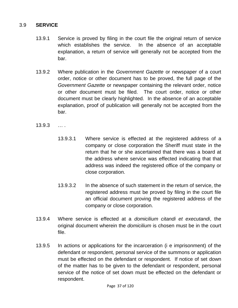#### 3.9 **SERVICE**

- 13.9.1 Service is proved by filing in the court file the original return of service which establishes the service. In the absence of an acceptable explanation, a return of service will generally not be accepted from the bar.
- 13.9.2 Where publication in the *Government Gazette* or newspaper of a court order, notice or other document has to be proved, the full page of the *Government Gazette* or newspaper containing the relevant order, notice or other document must be filed. The court order, notice or other document must be clearly highlighted. In the absence of an acceptable explanation, proof of publication will generally not be accepted from the bar.
- 13.9.3 … .
	- 13.9.3.1 Where service is effected at the registered address of a company or close corporation the Sheriff must state in the return that he or she ascertained that there was a board at the address where service was effected indicating that that address was indeed the registered office of the company or close corporation.
	- 13.9.3.2 In the absence of such statement in the return of service, the registered address must be proved by filing in the court file an official document proving the registered address of the company or close corporation.
- 13.9.4 Where service is effected at a *domicilium citandi et executandi*, the original document wherein the *domicilium* is chosen must be in the court file.
- 13.9.5 In actions or applications for the incarceration (i e imprisonment) of the defendant or respondent, personal service of the summons or application must be effected on the defendant or respondent. If notice of set down of the matter has to be given to the defendant or respondent, personal service of the notice of set down must be effected on the defendant or respondent.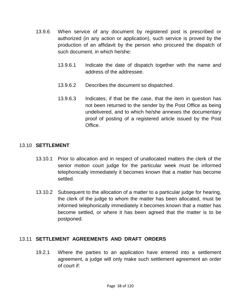- 13.9.6 When service of any document by registered post is prescribed or authorized (in any action or application), such service is proved by the production of an affidavit by the person who procured the dispatch of such document, in which he/she:
	- 13.9.6.1 Indicate the date of dispatch together with the name and address of the addressee.
	- 13.9.6.2 Describes the document so dispatched.
	- 13.9.6.3 Indicates, if that be the case, that the item in question has not been returned to the sender by the Post Office as being undelivered, and to which he/she annexes the documentary proof of posting of a registered article issued by the Post Office.

#### 13.10 **SETTLEMENT**

- 13.10.1 Prior to allocation and in respect of unallocated matters the clerk of the senior motion court judge for the particular week must be informed telephonically immediately it becomes known that a matter has become settled.
- 13.10.2 Subsequent to the allocation of a matter to a particular judge for hearing, the clerk of the judge to whom the matter has been allocated, must be informed telephonically immediately it becomes known that a matter has become settled, or where it has been agreed that the matter is to be postponed.

#### 13.11 **SETTLEMENT AGREEMENTS AND DRAFT ORDERS**

19.2.1 Where the parties to an application have entered into a settlement agreement, a judge will only make such settlement agreement an order of court if: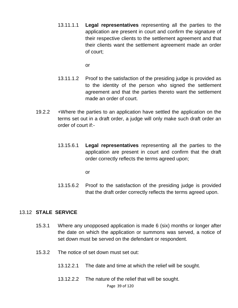13.11.1.1 **Legal representatives** representing all the parties to the application are present in court and confirm the signature of their respective clients to the settlement agreement and that their clients want the settlement agreement made an order of court;

or

- 13.11.1.2 Proof to the satisfaction of the presiding judge is provided as to the identity of the person who signed the settlement agreement and that the parties thereto want the settlement made an order of court.
- 19.2.2 +Where the parties to an application have settled the application on the terms set out in a draft order, a judge will only make such draft order an order of court if:-
	- 13.15.6.1 **Legal representatives** representing all the parties to the application are present in court and confirm that the draft order correctly reflects the terms agreed upon;

or

13.15.6.2 Proof to the satisfaction of the presiding judge is provided that the draft order correctly reflects the terms agreed upon.

#### 13.12 **STALE SERVICE**

- 15.3.1 Where any unopposed application is made 6 (six) months or longer after the date on which the application or summons was served, a notice of set down must be served on the defendant or respondent.
- 15.3.2 The notice of set down must set out:
	- 13.12.2.1 The date and time at which the relief will be sought.
	- 13.12.2.2 The nature of the relief that will be sought.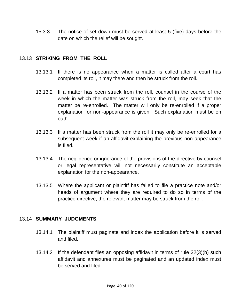15.3.3 The notice of set down must be served at least 5 (five) days before the date on which the relief will be sought.

#### 13.13 **STRIKING FROM THE ROLL**

- 13.13.1 If there is no appearance when a matter is called after a court has completed its roll, it may there and then be struck from the roll.
- 13.13.2 If a matter has been struck from the roll, counsel in the course of the week in which the matter was struck from the roll, may seek that the matter be re-enrolled. The matter will only be re-enrolled if a proper explanation for non-appearance is given. Such explanation must be on oath.
- 13.13.3 If a matter has been struck from the roll it may only be re-enrolled for a subsequent week if an affidavit explaining the previous non-appearance is filed.
- 13.13.4 The negligence or ignorance of the provisions of the directive by counsel or legal representative will not necessarily constitute an acceptable explanation for the non-appearance.
- 13.13.5 Where the applicant or plaintiff has failed to file a practice note and/or heads of argument where they are required to do so in terms of the practice directive, the relevant matter may be struck from the roll.

#### 13.14 **SUMMARY JUDGMENTS**

- 13.14.1 The plaintiff must paginate and index the application before it is served and filed.
- 13.14.2 If the defendant files an opposing affidavit in terms of rule 32(3)(b) such affidavit and annexures must be paginated and an updated index must be served and filed.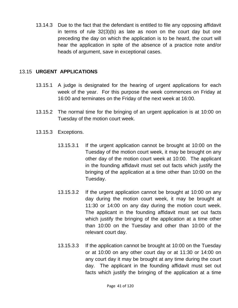13.14.3 Due to the fact that the defendant is entitled to file any opposing affidavit in terms of rule 32(3)(b) as late as noon on the court day but one preceding the day on which the application is to be heard, the court will hear the application in spite of the absence of a practice note and/or heads of argument, save in exceptional cases.

### 13.15 **URGENT APPLICATIONS**

- 13.15.1 A judge is designated for the hearing of urgent applications for each week of the year. For this purpose the week commences on Friday at 16:00 and terminates on the Friday of the next week at 16:00.
- 13.15.2 The normal time for the bringing of an urgent application is at 10:00 on Tuesday of the motion court week.
- 13.15.3 Exceptions.
	- 13.15.3.1 If the urgent application cannot be brought at 10:00 on the Tuesday of the motion court week, it may be brought on any other day of the motion court week at 10:00. The applicant in the founding affidavit must set out facts which justify the bringing of the application at a time other than 10:00 on the Tuesday.
	- 13.15.3.2 If the urgent application cannot be brought at 10:00 on any day during the motion court week, it may be brought at 11:30 or 14:00 on any day during the motion court week. The applicant in the founding affidavit must set out facts which justify the bringing of the application at a time other than 10:00 on the Tuesday and other than 10:00 of the relevant court day.
	- 13.15.3.3 If the application cannot be brought at 10:00 on the Tuesday or at 10:00 on any other court day or at 11:30 or 14:00 on any court day it may be brought at any time during the court day. The applicant in the founding affidavit must set out facts which justify the bringing of the application at a time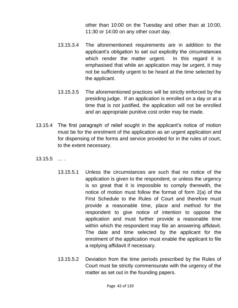other than 10:00 on the Tuesday and other than at 10:00, 11:30 or 14:00 on any other court day.

- 13.15.3.4 The aforementioned requirements are in addition to the applicant"s obligation to set out explicitly the circumstances which render the matter urgent. In this regard it is emphasised that while an application may be urgent, it may not be sufficiently urgent to be heard at the time selected by the applicant.
- 13.15.3.5 The aforementioned practices will be strictly enforced by the presiding judge. If an application is enrolled on a day or at a time that is not justified, the application will not be enrolled and an appropriate punitive cost order may be made.
- 13.15.4 The first paragraph of relief sought in the applicant"s notice of motion must be for the enrolment of the application as an urgent application and for dispensing of the forms and service provided for in the rules of court, to the extent necessary.
- 13.15.5 … .
	- 13.15.5.1 Unless the circumstances are such that no notice of the application is given to the respondent, or unless the urgency is so great that it is impossible to comply therewith, the notice of motion must follow the format of form 2(a) of the First Schedule to the Rules of Court and therefore must provide a reasonable time, place and method for the respondent to give notice of intention to oppose the application and must further provide a reasonable time within which the respondent may file an answering affidavit. The date and time selected by the applicant for the enrolment of the application must enable the applicant to file a replying affidavit if necessary.
	- 13.15.5.2 Deviation from the time periods prescribed by the Rules of Court must be strictly commensurate with the urgency of the matter as set out in the founding papers.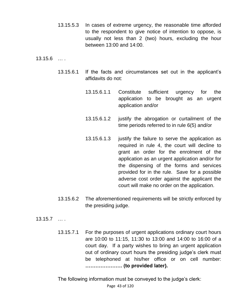13.15.5.3 In cases of extreme urgency, the reasonable time afforded to the respondent to give notice of intention to oppose, is usually not less than 2 (two) hours, excluding the hour between 13:00 and 14:00.

13.15.6 … .

- 13.15.6.1 If the facts and circumstances set out in the applicant"s affidavits do not:
	- 13.15.6.1.1 Constitute sufficient urgency for the application to be brought as an urgent application and/or
	- 13.15.6.1.2 justify the abrogation or curtailment of the time periods referred to in rule 6(5) and/or
	- 13.15.6.1.3 justify the failure to serve the application as required in rule 4, the court will decline to grant an order for the enrolment of the application as an urgent application and/or for the dispensing of the forms and services provided for in the rule. Save for a possible adverse cost order against the applicant the court will make no order on the application.
- 13.15.6.2 The aforementioned requirements will be strictly enforced by the presiding judge.

13.15.7 … .

13.15.7.1 For the purposes of urgent applications ordinary court hours are 10:00 to 11:15, 11:30 to 13:00 and 14:00 to 16:00 of a court day. If a party wishes to bring an urgent application out of ordinary court hours the presiding judge"s clerk must be telephoned at his/her office or on cell number: **…………………. (to provided later).** 

The following information must be conveyed to the judge's clerk: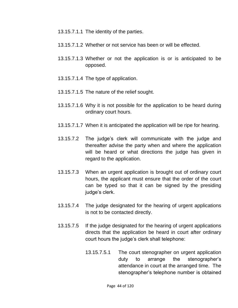- 13.15.7.1.1 The identity of the parties.
- 13.15.7.1.2 Whether or not service has been or will be effected.
- 13.15.7.1.3 Whether or not the application is or is anticipated to be opposed.
- 13.15.7.1.4 The type of application.
- 13.15.7.1.5 The nature of the relief sought.
- 13.15.7.1.6 Why it is not possible for the application to be heard during ordinary court hours.
- 13.15.7.1.7 When it is anticipated the application will be ripe for hearing.
- 13.15.7.2 The judge"s clerk will communicate with the judge and thereafter advise the party when and where the application will be heard or what directions the judge has given in regard to the application.
- 13.15.7.3 When an urgent application is brought out of ordinary court hours, the applicant must ensure that the order of the court can be typed so that it can be signed by the presiding judge's clerk.
- 13.15.7.4 The judge designated for the hearing of urgent applications is not to be contacted directly.
- 13.15.7.5 If the judge designated for the hearing of urgent applications directs that the application be heard in court after ordinary court hours the judge"s clerk shall telephone:
	- 13.15.7.5.1 The court stenographer on urgent application duty to arrange the stenographer"s attendance in court at the arranged time. The stenographer"s telephone number is obtained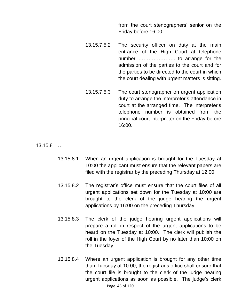from the court stenographers' senior on the Friday before 16:00.

- 13.15.7.5.2 The security officer on duty at the main entrance of the High Court at telephone number …………………. to arrange for the admission of the parties to the court and for the parties to be directed to the court in which the court dealing with urgent matters is sitting.
- 13.15.7.5.3 The court stenographer on urgent application duty to arrange the interpreter"s attendance in court at the arranged time. The interpreter"s telephone number is obtained from the principal court interpreter on the Friday before 16:00.

13.15.8 … .

- 13.15.8.1 When an urgent application is brought for the Tuesday at 10:00 the applicant must ensure that the relevant papers are filed with the registrar by the preceding Thursday at 12:00.
- 13.15.8.2 The registrar"s office must ensure that the court files of all urgent applications set down for the Tuesday at 10:00 are brought to the clerk of the judge hearing the urgent applications by 16:00 on the preceding Thursday.
- 13.15.8.3 The clerk of the judge hearing urgent applications will prepare a roll in respect of the urgent applications to be heard on the Tuesday at 10:00. The clerk will publish the roll in the foyer of the High Court by no later than 10:00 on the Tuesday.
- Page 45 of 120 13.15.8.4 Where an urgent application is brought for any other time than Tuesday at 10:00, the registrar"s office shall ensure that the court file is brought to the clerk of the judge hearing urgent applications as soon as possible. The judge"s clerk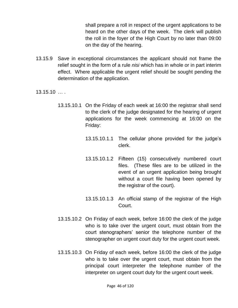shall prepare a roll in respect of the urgent applications to be heard on the other days of the week. The clerk will publish the roll in the foyer of the High Court by no later than 09:00 on the day of the hearing.

- 13.15.9 Save in exceptional circumstances the applicant should not frame the relief sought in the form of a rule *nisi* which has in whole or in part interim effect. Where applicable the urgent relief should be sought pending the determination of the application.
- 13.15.10 … .
	- 13.15.10.1 On the Friday of each week at 16:00 the registrar shall send to the clerk of the judge designated for the hearing of urgent applications for the week commencing at 16:00 on the Friday:
		- 13.15.10.1.1 The cellular phone provided for the judge"s clerk.
		- 13.15.10.1.2 Fifteen (15) consecutively numbered court files. (These files are to be utilized in the event of an urgent application being brought without a court file having been opened by the registrar of the court).
		- 13.15.10.1.3 An official stamp of the registrar of the High Court.
	- 13.15.10.2 On Friday of each week, before 16:00 the clerk of the judge who is to take over the urgent court, must obtain from the court stenographers" senior the telephone number of the stenographer on urgent court duty for the urgent court week.
	- 13.15.10.3 On Friday of each week, before 16:00 the clerk of the judge who is to take over the urgent court, must obtain from the principal court interpreter the telephone number of the interpreter on urgent court duty for the urgent court week.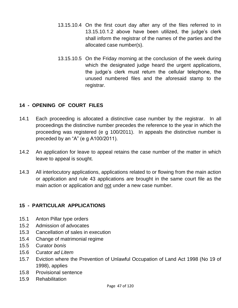- 13.15.10.4 On the first court day after any of the files referred to in 13.15.10.1.2 above have been utilized, the judge's clerk shall inform the registrar of the names of the parties and the allocated case number(s).
- 13.15.10.5 On the Friday morning at the conclusion of the week during which the designated judge heard the urgent applications, the judge"s clerk must return the cellular telephone, the unused numbered files and the aforesaid stamp to the registrar.

# **14 - OPENING OF COURT FILES**

- 14.1 Each proceeding is allocated a distinctive case number by the registrar. In all proceedings the distinctive number precedes the reference to the year in which the proceeding was registered (e g 100/2011). In appeals the distinctive number is preceded by an "A" (e g A100/2011).
- 14.2 An application for leave to appeal retains the case number of the matter in which leave to appeal is sought.
- 14.3 All interlocutory applications, applications related to or flowing from the main action or application and rule 43 applications are brought in the same court file as the main action or application and not under a new case number.

#### **15 - PARTICULAR APPLICATIONS**

- 15.1 Anton Pillar type orders
- 15.2 Admission of advocates
- 15.3 Cancellation of sales in execution
- 15.4 Change of matrimonial regime
- 15.5 Curator *bonis*
- 15.6 Curator *ad Litem*
- 15.7 Eviction where the Prevention of Unlawful Occupation of Land Act 1998 (No 19 of 1998), applies
- 15.8 Provisional sentence
- 15.9 Rehabilitation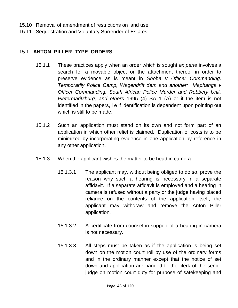- 15.10 Removal of amendment of restrictions on land use
- 15.11 Sequestration and Voluntary Surrender of Estates

### 15.1 **ANTON PILLER TYPE ORDERS**

- 15.1.1 These practices apply when an order which is sought *ex parte* involves a search for a movable object or the attachment thereof in order to preserve evidence as is meant in *Shoba v Officer Commanding, Temporarily Police Camp, Wagendrift dam and another: Maphanga v Officer Commanding, South African Police Murder and Robbery Unit, Pietermaritzburg, and others* 1995 (4) SA 1 (A) or if the item is not identified in the papers, i e if identification is dependent upon pointing out which is still to be made.
- 15.1.2 Such an application must stand on its own and not form part of an application in which other relief is claimed. Duplication of costs is to be minimized by incorporating evidence in one application by reference in any other application.
- 15.1.3 When the applicant wishes the matter to be head in camera:
	- 15.1.3.1 The applicant may, without being obliged to do so, prove the reason why such a hearing is necessary in a separate affidavit. If a separate affidavit is employed and a hearing in camera is refused without a party or the judge having placed reliance on the contents of the application itself, the applicant may withdraw and remove the Anton Piller application.
	- 15.1.3.2 A certificate from counsel in support of a hearing in camera is not necessary.
	- 15.1.3.3 All steps must be taken as if the application is being set down on the motion court roll by use of the ordinary forms and in the ordinary manner except that the notice of set down and application are handed to the clerk of the senior judge on motion court duty for purpose of safekeeping and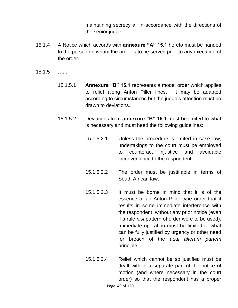maintaining secrecy all in accordance with the directions of the senior judge.

- 15.1.4 A Notice which accords with **annexure "A" 15.1** hereto must be handed to the person on whom the order is to be served prior to any execution of the order.
- 15.1.5 …. .
	- 15.1.5.1 **Annexure "B" 15.1** represents a model order which applies to relief along Anton Piller lines. It may be adapted according to circumstances but the judge"s attention must be drawn to deviations.
	- 15.1.5.2 Deviations from **annexure "B" 15.1** must be limited to what is necessary and must heed the following guidelines:
		- 15.1.5.2.1 Unless the procedure is limited in case law, undertakings to the court must be employed to counteract injustice and avoidable inconvenience to the respondent.
		- 15.1.5.2.2 The order must be justifiable in terms of South African law.
		- 15.1.5.2.3 It must be borne in mind that it is of the essence of an Anton Piller type order that it results in some immediate interference with the respondent without any prior notice (even if a rule *nisi* pattern of order were to be used). Immediate operation must be limited to what can be fully justified by urgency or other need for breach of the *audi alteram partem* principle.
		- Page 49 of 120 15.1.5.2.4 Relief which cannot be so justified must be dealt with in a separate part of the notice of motion (and where necessary in the court order) so that the respondent has a proper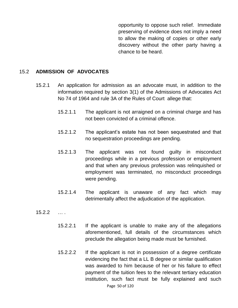opportunity to oppose such relief. Immediate preserving of evidence does not imply a need to allow the making of copies or other early discovery without the other party having a chance to be heard.

#### 15.2 **ADMISSION OF ADVOCATES**

- 15.2.1 An application for admission as an advocate must, in addition to the information required by section 3(1) of the Admissions of Advocates Act No 74 of 1964 and rule 3A of the Rules of Court allege that:
	- 15.2.1.1 The applicant is not arraigned on a criminal charge and has not been convicted of a criminal offence.
	- 15.2.1.2 The applicant"s estate has not been sequestrated and that no sequestration proceedings are pending.
	- 15.2.1.3 The applicant was not found guilty in misconduct proceedings while in a previous profession or employment and that when any previous profession was relinquished or employment was terminated, no misconduct proceedings were pending.
	- 15.2.1.4 The applicant is unaware of any fact which may detrimentally affect the adjudication of the application.
- $15.2.2$  …
	- 15.2.2.1 If the applicant is unable to make any of the allegations aforementioned, full details of the circumstances which preclude the allegation being made must be furnished.
	- Page 50 of 120 15.2.2.2 If the applicant is not in possession of a degree certificate evidencing the fact that a LL B degree or similar qualification was awarded to him because of her or his failure to effect payment of the tuition fees to the relevant tertiary education institution, such fact must be fully explained and such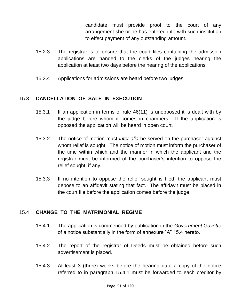candidate must provide proof to the court of any arrangement she or he has entered into with such institution to effect payment of any outstanding amount.

- 15.2.3 The registrar is to ensure that the court files containing the admission applications are handed to the clerks of the judges hearing the application at least two days before the hearing of the applications.
- 15.2.4 Applications for admissions are heard before two judges.

### 15.3 **CANCELLATION OF SALE IN EXECUTION**

- 15.3.1 If an application in terms of rule 46(11) is unopposed it is dealt with by the judge before whom it comes in chambers. If the application is opposed the application will be heard in open court.
- 15.3.2 The notice of motion must *inter alia* be served on the purchaser against whom relief is sought. The notice of motion must inform the purchaser of the time within which and the manner in which the applicant and the registrar must be informed of the purchaser"s intention to oppose the relief sought, if any.
- 15.3.3 If no intention to oppose the relief sought is filed, the applicant must depose to an affidavit stating that fact. The affidavit must be placed in the court file before the application comes before the judge.

#### 15.4 **CHANGE TO THE MATRIMONIAL REGIME**

- 15.4.1 The application is commenced by publication in the *Government Gazette* of a notice substantially in the form of annexure "A" 15.4 hereto.
- 15.4.2 The report of the registrar of Deeds must be obtained before such advertisement is placed.
- 15.4.3 At least 3 (three) weeks before the hearing date a copy of the notice referred to in paragraph 15.4.1 must be forwarded to each creditor by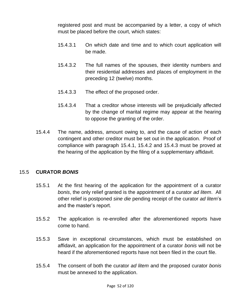registered post and must be accompanied by a letter, a copy of which must be placed before the court, which states:

- 15.4.3.1 On which date and time and to which court application will be made.
- 15.4.3.2 The full names of the spouses, their identity numbers and their residential addresses and places of employment in the preceding 12 (twelve) months.
- 15.4.3.3 The effect of the proposed order.
- 15.4.3.4 That a creditor whose interests will be prejudicially affected by the change of marital regime may appear at the hearing to oppose the granting of the order.
- 15.4.4 The name, address, amount owing to, and the cause of action of each contingent and other creditor must be set out in the application. Proof of compliance with paragraph 15.4.1, 15.4.2 and 15.4.3 must be proved at the hearing of the application by the filing of a supplementary affidavit.

#### 15.5 **CURATOR** *BONIS*

- 15.5.1 At the first hearing of the application for the appointment of a curator *bonis*, the only relief granted is the appointment of a curator *ad litem*. All other relief is postponed *sine die* pending receipt of the curator *ad litem*"s and the master"s report.
- 15.5.2 The application is re-enrolled after the aforementioned reports have come to hand.
- 15.5.3 Save in exceptional circumstances, which must be established on affidavit, an application for the appointment of a curator *bonis* will not be heard if the aforementioned reports have not been filed in the court file.
- 15.5.4 The consent of both the curator *ad litem* and the proposed curator *bonis* must be annexed to the application.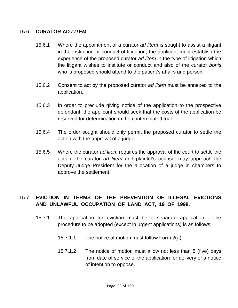### 15.6 **CURATOR AD** *LITEM*

- 15.6.1 Where the appointment of a curator *ad litem* is sought to assist a litigant in the institution or conduct of litigation, the applicant must establish the experience of the proposed curator *ad litem* in the type of litigation which the litigant wishes to institute or conduct and also of the curator *bonis* who is proposed should attend to the patient"s affairs and person.
- 15.6.2 Consent to act by the proposed curator *ad litem* must be annexed to the application.
- 15.6.3 In order to preclude giving notice of the application to the prospective defendant, the applicant should seek that the costs of the application be reserved for determination in the contemplated trial.
- 15.6.4 The order sought should only permit the proposed curator to settle the action with the approval of a judge.
- 15.6.5 Where the curator *ad litem* requires the approval of the court to settle the action, the curator *ad litem* and plaintiff's counsel may approach the Deputy Judge President for the allocation of a judge in chambers to approve the settlement.

# 15.7 **EVICTION IN TERMS OF THE PREVENTION OF ILLEGAL EVICTIONS AND UNLAWFUL OCCUPATION OF LAND ACT, 19 OF 1998.**

- 15.7.1 The application for eviction must be a separate application. The procedure to be adopted (except in urgent applications) is as follows:
	- 15.7.1.1 The notice of motion must follow Form 2(a).
	- 15.7.1.2 The notice of motion must allow not less than 5 (five) days from date of service of the application for delivery of a notice of intention to oppose.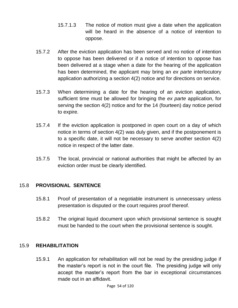- 15.7.1.3 The notice of motion must give a date when the application will be heard in the absence of a notice of intention to oppose.
- 15.7.2 After the eviction application has been served and no notice of intention to oppose has been delivered or if a notice of intention to oppose has been delivered at a stage when a date for the hearing of the application has been determined, the applicant may bring an *ex parte* interlocutory application authorizing a section 4(2) notice and for directions on service.
- 15.7.3 When determining a date for the hearing of an eviction application, sufficient time must be allowed for bringing the *ex parte* application, for serving the section 4(2) notice and for the 14 (fourteen) day notice period to expire.
- 15.7.4 If the eviction application is postponed in open court on a day of which notice in terms of section 4(2) was duly given, and if the postponement is to a specific date, it will not be necessary to serve another section 4(2) notice in respect of the latter date.
- 15.7.5 The local, provincial or national authorities that might be affected by an eviction order must be clearly identified.

#### 15.8 **PROVISIONAL SENTENCE**

- 15.8.1 Proof of presentation of a negotiable instrument is unnecessary unless presentation is disputed or the court requires proof thereof.
- 15.8.2 The original liquid document upon which provisional sentence is sought must be handed to the court when the provisional sentence is sought.

#### 15.9 **REHABILITATION**

15.9.1 An application for rehabilitation will not be read by the presiding judge if the master"s report is not in the court file. The presiding judge will only accept the master"s report from the bar in exceptional circumstances made out in an affidavit.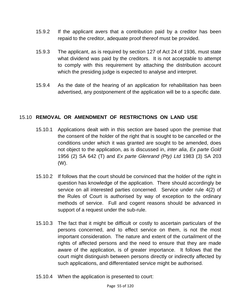- 15.9.2 If the applicant avers that a contribution paid by a creditor has been repaid to the creditor, adequate proof thereof must be provided.
- 15.9.3 The applicant, as is required by section 127 of Act 24 of 1936, must state what dividend was paid by the creditors. It is not acceptable to attempt to comply with this requirement by attaching the distribution account which the presiding judge is expected to analyse and interpret.
- 15.9.4 As the date of the hearing of an application for rehabilitation has been advertised, any postponement of the application will be to a specific date.

## 15.10 **REMOVAL OR AMENDMENT OF RESTRICTIONS ON LAND USE**

- 15.10.1 Applications dealt with in this section are based upon the premise that the consent of the holder of the right that is sought to be cancelled or the conditions under which it was granted are sought to be amended, does not object to the application, as is discussed in, *inter alia*, *Ex parte Gold* 1956 (2) SA 642 (T) and *Ex parte Glenrand (Pty) Ltd* 1983 (3) SA 203 (W).
- 15.10.2 If follows that the court should be convinced that the holder of the right in question has knowledge of the application. There should accordingly be service on all interested parties concerned. Service under rule 4(2) of the Rules of Court is authorised by way of exception to the ordinary methods of service. Full and cogent reasons should be advanced in support of a request under the sub-rule.
- 15.10.3 The fact that it might be difficult or costly to ascertain particulars of the persons concerned, and to effect service on them, is not the most important consideration. The nature and extent of the curtailment of the rights of affected persons and the need to ensure that they are made aware of the application, is of greater importance. It follows that the court might distinguish between persons directly or indirectly affected by such applications, and differentiated service might be authorised.
- 15.10.4 When the application is presented to court: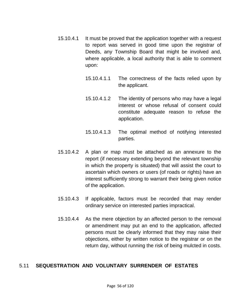- 15.10.4.1 It must be proved that the application together with a request to report was served in good time upon the registrar of Deeds, any Township Board that might be involved and, where applicable, a local authority that is able to comment upon:
	- 15.10.4.1.1 The correctness of the facts relied upon by the applicant.
	- 15.10.4.1.2 The identity of persons who may have a legal interest or whose refusal of consent could constitute adequate reason to refuse the application.
	- 15.10.4.1.3 The optimal method of notifying interested parties.
- 15.10.4.2 A plan or map must be attached as an annexure to the report (if necessary extending beyond the relevant township in which the property is situated) that will assist the court to ascertain which owners or users (of roads or rights) have an interest sufficiently strong to warrant their being given notice of the application.
- 15.10.4.3 If applicable, factors must be recorded that may render ordinary service on interested parties impractical.
- 15.10.4.4 As the mere objection by an affected person to the removal or amendment may put an end to the application, affected persons must be clearly informed that they may raise their objections, either by written notice to the registrar or on the return day, without running the risk of being mulcted in costs.

## 5.11 **SEQUESTRATION AND VOLUNTARY SURRENDER OF ESTATES**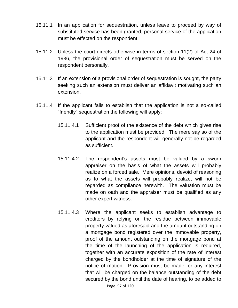- 15.11.1 In an application for sequestration, unless leave to proceed by way of substituted service has been granted, personal service of the application must be effected on the respondent.
- 15.11.2 Unless the court directs otherwise in terms of section 11(2) of Act 24 of 1936, the provisional order of sequestration must be served on the respondent personally.
- 15.11.3 If an extension of a provisional order of sequestration is sought, the party seeking such an extension must deliver an affidavit motivating such an extension.
- 15.11.4 If the applicant fails to establish that the application is not a so-called "friendly" sequestration the following will apply:
	- 15.11.4.1 Sufficient proof of the existence of the debt which gives rise to the application must be provided. The mere say so of the applicant and the respondent will generally not be regarded as sufficient.
	- 15.11.4.2 The respondent"s assets must be valued by a sworn appraiser on the basis of what the assets will probably realize on a forced sale. Mere opinions, devoid of reasoning as to what the assets will probably realize, will not be regarded as compliance herewith. The valuation must be made on oath and the appraiser must be qualified as any other expert witness.
	- Page 57 of 120 15.11.4.3 Where the applicant seeks to establish advantage to creditors by relying on the residue between immovable property valued as aforesaid and the amount outstanding on a mortgage bond registered over the immovable property, proof of the amount outstanding on the mortgage bond at the time of the launching of the application is required, together with an accurate exposition of the rate of interest charged by the bondholder at the time of signature of the notice of motion. Provision must be made for any interest that will be charged on the balance outstanding of the debt secured by the bond until the date of hearing, to be added to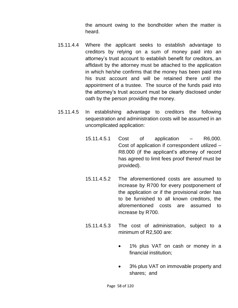the amount owing to the bondholder when the matter is heard.

- 15.11.4.4 Where the applicant seeks to establish advantage to creditors by relying on a sum of money paid into an attorney"s trust account to establish benefit for creditors, an affidavit by the attorney must be attached to the application in which he/she confirms that the money has been paid into his trust account and will be retained there until the appointment of a trustee. The source of the funds paid into the attorney"s trust account must be clearly disclosed under oath by the person providing the money.
- 15.11.4.5 In establishing advantage to creditors the following sequestration and administration costs will be assumed in an uncomplicated application:
	- 15.11.4.5.1 Cost of application R6,000. Cost of application if correspondent utilized – R8.000 (if the applicant"s attorney of record has agreed to limit fees proof thereof must be provided).
	- 15.11.4.5.2 The aforementioned costs are assumed to increase by R700 for every postponement of the application or if the provisional order has to be furnished to all known creditors, the aforementioned costs are assumed to increase by R700.
	- 15.11.4.5.3 The cost of administration, subject to a minimum of R2,500 are:
		- 1% plus VAT on cash or money in a financial institution;
		- 3% plus VAT on immovable property and shares; and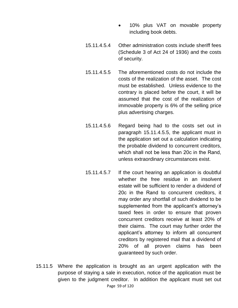- 10% plus VAT on movable property including book debts.
- 15.11.4.5.4 Other administration costs include sheriff fees (Schedule 3 of Act 24 of 1936) and the costs of security.
- 15.11.4.5.5 The aforementioned costs do not include the costs of the realization of the asset. The cost must be established. Unless evidence to the contrary is placed before the court, it will be assumed that the cost of the realization of immovable property is 6% of the selling price plus advertising charges.
- 15.11.4.5.6 Regard being had to the costs set out in paragraph 15.11.4.5.5, the applicant must in the application set out a calculation indicating the probable dividend to concurrent creditors, which shall not be less than 20с in the Rand, unless extraordinary circumstances exist.
- 15.11.4.5.7 If the court hearing an application is doubtful whether the free residue in an insolvent estate will be sufficient to render a dividend of 20с in the Rand to concurrent creditors, it may order any shortfall of such dividend to be supplemented from the applicant's attorney's taxed fees in order to ensure that proven concurrent creditors receive at least 20% of their claims. The court may further order the applicant"s attorney to inform all concurrent creditors by registered mail that a dividend of 20% of all proven claims has been guaranteed by such order.
- Page 59 of 120 15.11.5 Where the application is brought as an urgent application with the purpose of staying a sale in execution, notice of the application must be given to the judgment creditor. In addition the applicant must set out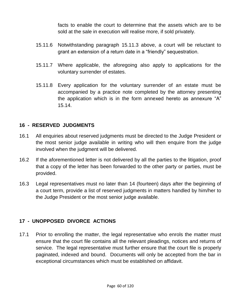facts to enable the court to determine that the assets which are to be sold at the sale in execution will realise more, if sold privately.

- 15.11.6 Notwithstanding paragraph 15.11.3 above, a court will be reluctant to grant an extension of a return date in a "friendly" sequestration.
- 15.11.7 Where applicable, the aforegoing also apply to applications for the voluntary surrender of estates.
- 15.11.8 Every application for the voluntary surrender of an estate must be accompanied by a practice note completed by the attorney presenting the application which is in the form annexed hereto as annexure "A" 15.14.

### **16 - RESERVED JUDGMENTS**

- 16.1 All enquiries about reserved judgments must be directed to the Judge President or the most senior judge available in writing who will then enquire from the judge involved when the judgment will be delivered.
- 16.2 If the aforementioned letter is not delivered by all the parties to the litigation, proof that a copy of the letter has been forwarded to the other party or parties, must be provided.
- 16.3 Legal representatives must no later than 14 (fourteen) days after the beginning of a court term, provide a list of reserved judgments in matters handled by him/her to the Judge President or the most senior judge available.

## **17 - UNOPPOSED DIVORCE ACTIONS**

17.1 Prior to enrolling the matter, the legal representative who enrols the matter must ensure that the court file contains all the relevant pleadings, notices and returns of service. The legal representative must further ensure that the court file is properly paginated, indexed and bound. Documents will only be accepted from the bar in exceptional circumstances which must be established on affidavit.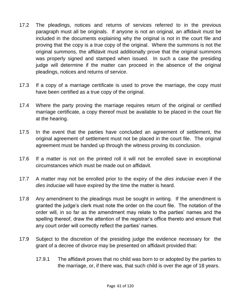- 17.2 The pleadings, notices and returns of services referred to in the previous paragraph must all be originals. If anyone is not an original, an affidavit must be included in the documents explaining why the original is not in the court file and proving that the copy is a true copy of the original. Where the summons is not the original summons, the affidavit must additionally prove that the original summons was properly signed and stamped when issued. In such a case the presiding judge will determine if the matter can proceed in the absence of the original pleadings, notices and returns of service.
- 17.3 If a copy of a marriage certificate is used to prove the marriage, the copy must have been certified as a true copy of the original.
- 17.4 Where the party proving the marriage requires return of the original or certified marriage certificate, a copy thereof must be available to be placed in the court file at the hearing.
- 17.5 In the event that the parties have concluded an agreement of settlement, the original agreement of settlement must not be placed in the court file. The original agreement must be handed up through the witness proving its conclusion.
- 17.6 If a matter is not on the printed roll it will not be enrolled save in exceptional circumstances which must be made out on affidavit.
- 17.7 A matter may not be enrolled prior to the expiry of the *dies induciae* even if the *dies induciae* will have expired by the time the matter is heard.
- 17.8 Any amendment to the pleadings must be sought in writing. If the amendment is granted the judge"s clerk must note the order on the court file. The notation of the order will, in so far as the amendment may relate to the parties" names and the spelling thereof, draw the attention of the registrar"s office thereto and ensure that any court order will correctly reflect the parties' names.
- 17.9 Subject to the discretion of the presiding judge the evidence necessary for the grant of a decree of divorce may be presented on affidavit provided that:
	- 17.9.1 The affidavit proves that no child was born to or adopted by the parties to the marriage, or, if there was, that such child is over the age of 18 years.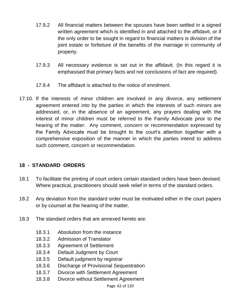- 17.9.2 All financial matters between the spouses have been settled in a signed written agreement which is identified in and attached to the affidavit, or if the only order to be sought in regard to financial matters is division of the joint estate or forfeiture of the benefits of the marriage in community of property.
- 17.9.3 All necessary evidence is set out in the affidavit. (In this regard it is emphasised that primary facts and not conclusions of fact are required).
- 17.9.4 The affidavit is attached to the notice of enrolment.
- 17.10. If the interests of minor children are involved in any divorce, any settlement agreement entered into by the parties in which the interests of such minors are addressed, or, in the absence of an agreement, any prayers dealing with the interest of minor children must be referred to the Family Advocate prior to the hearing of the matter. Any comment, concern or recommendation expressed by the Family Advocate must be brought to the court"s attention together with a comprehensive exposition of the manner in which the parties intend to address such comment, concern or recommendation.

## **18 - STANDARD ORDERS**

- 18.1 To facilitate the printing of court orders certain standard orders have been devised. Where practical, practitioners should seek relief in terms of the standard orders.
- 18.2 Any deviation from the standard order must be motivated either in the court papers or by counsel at the hearing of the matter.
- 18.3 The standard orders that are annexed hereto are:
	- 18.3.1 Absolution from the instance
	- 18.3.2 Admission of Translator
	- 18.3.3 Agreement of Settlement
	- 18.3.4 Default Judgment by Court
	- 18.3.5 Default judgment by registrar
	- 18.3.6 Discharge of Provisional Sequestration
	- 18.3.7 Divorce with Settlement Agreement
	- 18.3.8 Divorce without Settlement Agreement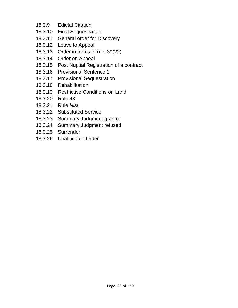- 18.3.9 Edictal Citation
- 18.3.10 Final Sequestration
- 18.3.11 General order for Discovery
- 18.3.12 Leave to Appeal
- 18.3.13 Order in terms of rule 39(22)
- 18.3.14 Order on Appeal
- 18.3.15 Post Nuptial Registration of a contract
- 18.3.16 Provisional Sentence 1
- 18.3.17 Provisional Sequestration
- 18.3.18 Rehabilitation
- 18.3.19 Restrictive Conditions on Land
- 18.3.20 Rule 43
- 18.3.21 Rule *Nisi*
- 18.3.22 Substituted Service
- 18.3.23 Summary Judgment granted
- 18.3.24 Summary Judgment refused
- 18.3.25 Surrender
- 18.3.26 Unallocated Order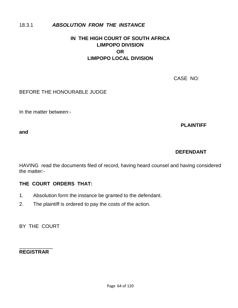### 18.3.1 *ABSOLUTION FROM THE INSTANCE*

# **IN THE HIGH COURT OF SOUTH AFRICA LIMPOPO DIVISION OR LIMPOPO LOCAL DIVISION**

CASE NO:

BEFORE THE HONOURABLE JUDGE

In the matter between:-

**PLAINTIFF** 

**and**

#### **DEFENDANT**

HAVING read the documents filed of record, having heard counsel and having considered the matter:-

#### **THE COURT ORDERS THAT:**

- 1. Absolution form the instance be granted to the defendant.
- 2. The plaintiff is ordered to pay the costs of the action.

BY THE COURT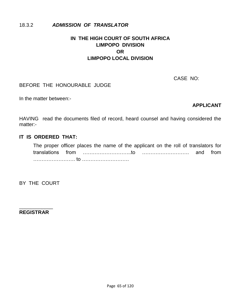#### 18.3.2 *ADMISSION OF TRANSLATOR*

# **IN THE HIGH COURT OF SOUTH AFRICA LIMPOPO DIVISION OR LIMPOPO LOCAL DIVISION**

CASE NO:

#### BEFORE THE HONOURABLE JUDGE

In the matter between:-

#### **APPLICANT**

HAVING read the documents filed of record, heard counsel and having considered the matter:-

#### **IT IS ORDERED THAT:**

The proper officer places the name of the applicant on the roll of translators for translations from ………………………..to ………………………. and from ……………………. to ……………………….

BY THE COURT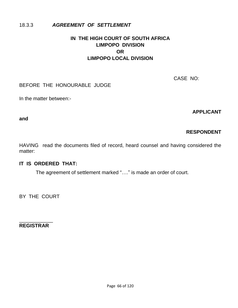### 18.3.3 *AGREEMENT OF SETTLEMENT*

# **IN THE HIGH COURT OF SOUTH AFRICA LIMPOPO DIVISION OR LIMPOPO LOCAL DIVISION**

CASE NO:

#### BEFORE THE HONOURABLE JUDGE

In the matter between:-

**APPLICANT** 

**and**

# **RESPONDENT**

HAVING read the documents filed of record, heard counsel and having considered the matter:

## **IT IS ORDERED THAT:**

The agreement of settlement marked "…." is made an order of court.

BY THE COURT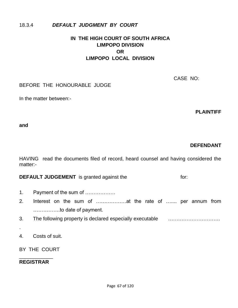#### 18.3.4 *DEFAULT JUDGMENT BY COURT*

# **IN THE HIGH COURT OF SOUTH AFRICA LIMPOPO DIVISION OR LIMPOPO LOCAL DIVISION**

CASE NO:

#### BEFORE THE HONOURABLE JUDGE

In the matter between:-

**PLAINTIFF** 

**and**

#### **DEFENDANT**

HAVING read the documents filed of record, heard counsel and having considered the matter:-

**DEFAULT JUDGEMENT** is granted against the for:

- 1. Payment of the sum of ………………
- 2. Interest on the sum of ………………at the rate of ….... per annum from …………….to date of payment.
- 3. The following property is declared especially executable ………………………….
- 4. Costs of suit.

.

BY THE COURT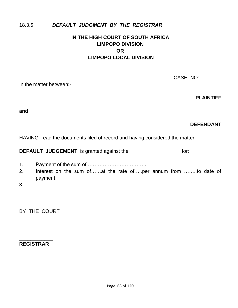### 18.3.5 *DEFAULT JUDGMENT BY THE REGISTRAR*

# **IN THE HIGH COURT OF SOUTH AFRICA LIMPOPO DIVISION OR LIMPOPO LOCAL DIVISION**

CASE NO:

In the matter between:-

**PLAINTIFF** 

**and**

#### **DEFENDANT**

HAVING read the documents filed of record and having considered the matter:-

|  | <b>DEFAULT JUDGEMENT</b> is granted against the | for: |
|--|-------------------------------------------------|------|
|--|-------------------------------------------------|------|

- 1. Payment of the sum of …………………………… .
- 2. Interest on the sum of……at the rate of…..per annum from ……..to date of payment.
- 3. ………………… .

BY THE COURT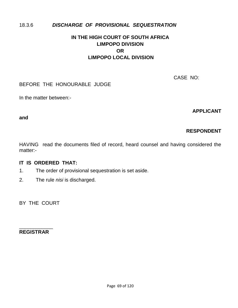## 18.3.6 *DISCHARGE OF PROVISIONAL SEQUESTRATION*

# **IN THE HIGH COURT OF SOUTH AFRICA LIMPOPO DIVISION OR LIMPOPO LOCAL DIVISION**

CASE NO:

### BEFORE THE HONOURABLE JUDGE

In the matter between:-

**APPLICANT** 

**and**

# **RESPONDENT**

HAVING read the documents filed of record, heard counsel and having considered the matter:-

## **IT IS ORDERED THAT:**

- 1. The order of provisional sequestration is set aside.
- 2. The rule *nisi* is discharged.

BY THE COURT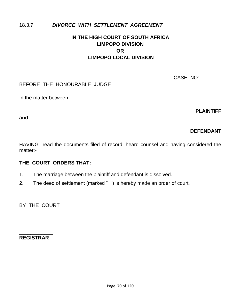## 18.3.7 *DIVORCE WITH SETTLEMENT AGREEMENT*

# **IN THE HIGH COURT OF SOUTH AFRICA LIMPOPO DIVISION OR LIMPOPO LOCAL DIVISION**

CASE NO:

## BEFORE THE HONOURABLE JUDGE

In the matter between:-

**PLAINTIFF** 

**and**

# **DEFENDANT**

HAVING read the documents filed of record, heard counsel and having considered the matter:-

## **THE COURT ORDERS THAT:**

- 1. The marriage between the plaintiff and defendant is dissolved.
- 2. The deed of settlement (marked "") is hereby made an order of court.

BY THE COURT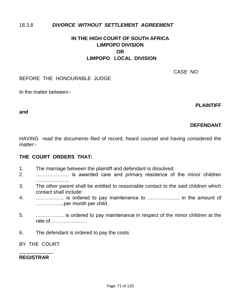## 18.3.8 *DIVORCE WITHOUT SETTLEMENT AGREEMENT*

# **IN THE HIGH COURT OF SOUTH AFRICA LIMPOPO DIVISION OR LIMPOPO LOCAL DIVISION**

CASE NO:

#### BEFORE THE HONOURABLE JUDGE

In the matter between:-

**PLAINTIFF** 

**and**

# **DEFENDANT**

HAVING read the documents filed of record, heard counsel and having considered the matter:-

## **THE COURT ORDERS THAT:**

- 1. The marriage between the plaintiff and defendant is dissolved.
- 2. ……………….. is awarded care and primary residence of the minor children ………………..
- 3. The other parent shall be entitled to reasonable contact to the said children which contact shall include:
- 4. …………….. is ordered to pay maintenance to ………………. in the amount of ……………..per month per child .
- 5. …………….. is ordered to pay maintenance in respect of the minor children at the rate of………………….
- 6. The defendant is ordered to pay the costs

BY THE COURT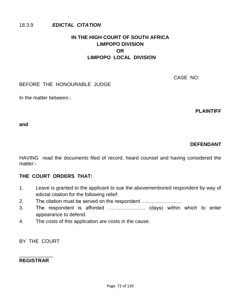## 18.3.9 *EDICTAL CITATION*

# **IN THE HIGH COURT OF SOUTH AFRICA LIMPOPO DIVISION OR LIMPOPO LOCAL DIVISION**

CASE NO:

## BEFORE THE HONOURABLE JUDGE

In the matter between:-

**PLAINTIFF** 

**and**

## **DEFENDANT**

HAVING read the documents filed of record, heard counsel and having considered the matter:-

## **THE COURT ORDERS THAT:**

- 1. Leave is granted to the applicant to sue the abovementioned respondent by way of edictal citation for the following relief:
- 2. The citation must be served on the respondent ……………………
- 3. The respondent is afforded …………………. (days) within which to enter appearance to defend.
- 4. The costs of this application are costs in the cause.

BY THE COURT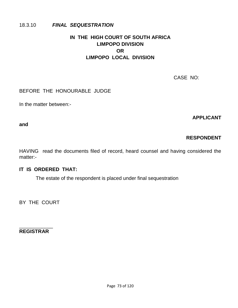### 18.3.10 *FINAL SEQUESTRATION*

# **IN THE HIGH COURT OF SOUTH AFRICA LIMPOPO DIVISION OR LIMPOPO LOCAL DIVISION**

CASE NO:

### BEFORE THE HONOURABLE JUDGE

In the matter between:-

### **APPLICANT**

**and**

## **RESPONDENT**

HAVING read the documents filed of record, heard counsel and having considered the matter:-

#### **IT IS ORDERED THAT:**

The estate of the respondent is placed under final sequestration

BY THE COURT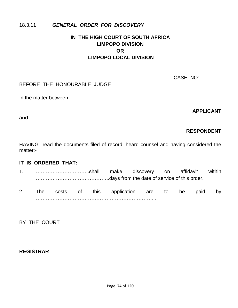## 18.3.11 *GENERAL ORDER FOR DISCOVERY*

# **IN THE HIGH COURT OF SOUTH AFRICA LIMPOPO DIVISION OR LIMPOPO LOCAL DIVISION**

CASE NO:

## BEFORE THE HONOURABLE JUDGE

In the matter between:-

**APPLICANT** 

#### **and**

# **RESPONDENT**

HAVING read the documents filed of record, heard counsel and having considered the matter:-

## **IT IS ORDERED THAT:**

- 1. …………………………..shall make discovery on affidavit within ……………………………………..days from the date of service of this order.
- 2. The costs of this application are to be paid by ……………………………………………………………...

BY THE COURT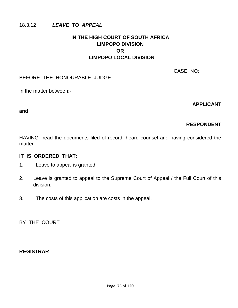## 18.3.12 *LEAVE TO APPEAL*

# **IN THE HIGH COURT OF SOUTH AFRICA LIMPOPO DIVISION OR LIMPOPO LOCAL DIVISION**

CASE NO:

### BEFORE THE HONOURABLE JUDGE

In the matter between:-

**APPLICANT** 

#### **and**

# **RESPONDENT**

HAVING read the documents filed of record, heard counsel and having considered the matter:-

## **IT IS ORDERED THAT:**

- 1. Leave to appeal is granted.
- 2. Leave is granted to appeal to the Supreme Court of Appeal / the Full Court of this division.
- 3. The costs of this application are costs in the appeal.

BY THE COURT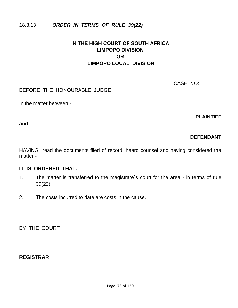## 18.3.13 *ORDER IN TERMS OF RULE 39(22)*

# **IN THE HIGH COURT OF SOUTH AFRICA LIMPOPO DIVISION OR LIMPOPO LOCAL DIVISION**

CASE NO:

BEFORE THE HONOURABLE JUDGE

In the matter between:-

**PLAINTIFF**

**and**

# **DEFENDANT**

HAVING read the documents filed of record, heard counsel and having considered the matter:-

#### **IT IS ORDERED THAT:-**

- 1. The matter is transferred to the magistrate`s court for the area in terms of rule 39(22).
- 2. The costs incurred to date are costs in the cause.

BY THE COURT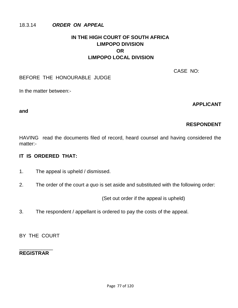### 18.3.14 *ORDER ON APPEAL*

# **IN THE HIGH COURT OF SOUTH AFRICA LIMPOPO DIVISION OR LIMPOPO LOCAL DIVISION**

CASE NO:

### BEFORE THE HONOURABLE JUDGE

In the matter between:-

**APPLICANT** 

#### **and**

# **RESPONDENT**

HAVING read the documents filed of record, heard counsel and having considered the matter:-

## **IT IS ORDERED THAT:**

- 1. The appeal is upheld / dismissed.
- 2. The order of the court *a quo* is set aside and substituted with the following order:

(Set out order if the appeal is upheld)

3. The respondent / appellant is ordered to pay the costs of the appeal.

BY THE COURT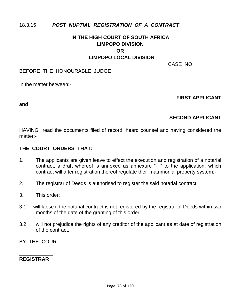## 18.3.15 *POST NUPTIAL REGISTRATION OF A CONTRACT*

# **IN THE HIGH COURT OF SOUTH AFRICA LIMPOPO DIVISION OR LIMPOPO LOCAL DIVISION**

CASE NO:

#### BEFORE THE HONOURABLE JUDGE

In the matter between:-

#### **FIRST APPLICANT**

**and**

### **SECOND APPLICANT**

HAVING read the documents filed of record, heard counsel and having considered the matter:-

#### **THE COURT ORDERS THAT:**

- 1. The applicants are given leave to effect the execution and registration of a notarial contract, a draft whereof is annexed as annexure " " to the application, which contract will after registration thereof regulate their matrimonial property system:-
- 2. The registrar of Deeds is authorised to register the said notarial contract:
- 3. This order:
- 3.1 will lapse if the notarial contract is not registered by the registrar of Deeds within two months of the date of the granting of this order;
- 3.2 will not prejudice the rights of any creditor of the applicant as at date of registration of the contract.

BY THE COURT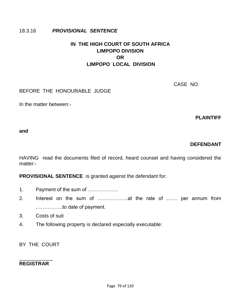### 18.3.16 *PROVISIONAL SENTENCE*

# **IN THE HIGH COURT OF SOUTH AFRICA LIMPOPO DIVISION OR LIMPOPO LOCAL DIVISION**

CASE NO:

BEFORE THE HONOURABLE JUDGE

In the matter between:-

**PLAINTIFF** 

#### **and**

### **DEFENDANT**

HAVING read the documents filed of record, heard counsel and having considered the matter:-

**PROVISIONAL SENTENCE** is granted against the defendant for:

- 1. Payment of the sum of ………………
- 2. Interest on the sum of ………………at the rate of ….... per annum from …………….to date of payment.
- 3. Costs of suit
- 4. The following property is declared especially executable:

BY THE COURT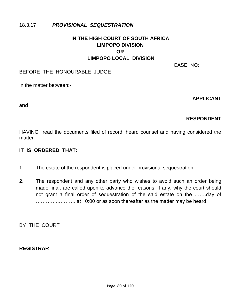## 18.3.17 *PROVISIONAL SEQUESTRATION*

# **IN THE HIGH COURT OF SOUTH AFRICA LIMPOPO DIVISION OR LIMPOPO LOCAL DIVISION**

CASE NO:

#### BEFORE THE HONOURABLE JUDGE

In the matter between:-

#### **APPLICANT**

**and**

## **RESPONDENT**

HAVING read the documents filed of record, heard counsel and having considered the matter:-

### **IT IS ORDERED THAT:**

- 1. The estate of the respondent is placed under provisional sequestration.
- 2. The respondent and any other party who wishes to avoid such an order being made final, are called upon to advance the reasons, if any, why the court should not grant a final order of sequestration of the said estate on the …….day of …………..………..at 10:00 or as soon thereafter as the matter may be heard.

BY THE COURT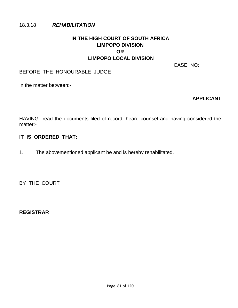### 18.3.18 *REHABILITATION*

# **IN THE HIGH COURT OF SOUTH AFRICA LIMPOPO DIVISION OR LIMPOPO LOCAL DIVISION**

CASE NO:

### BEFORE THE HONOURABLE JUDGE

In the matter between:-

### **APPLICANT**

HAVING read the documents filed of record, heard counsel and having considered the matter:-

### **IT IS ORDERED THAT:**

1. The abovementioned applicant be and is hereby rehabilitated.

BY THE COURT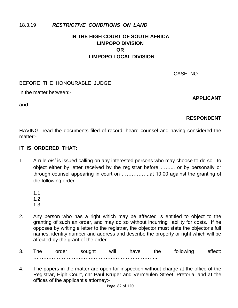## 18.3.19 *RESTRICTIVE CONDITIONS ON LAND*

# **IN THE HIGH COURT OF SOUTH AFRICA LIMPOPO DIVISION OR LIMPOPO LOCAL DIVISION**

CASE NO:

### BEFORE THE HONOURABLE JUDGE

In the matter between:-

### **APPLICANT**

**and**

## **RESPONDENT**

HAVING read the documents filed of record, heard counsel and having considered the matter:-

### **IT IS ORDERED THAT:**

- 1. A rule *nisi* is issued calling on any interested persons who may choose to do so, to object either by letter received by the registrar before …….., or by personally or through counsel appearing in court on ……………..at 10:00 against the granting of the following order:-
	- 1.1
	- 1.2
	- 1.3
- 2. Any person who has a right which may be affected is entitled to object to the granting of such an order, and may do so without incurring liability for costs. If he opposes by writing a letter to the registrar, the objector must state the objector"s full names, identity number and address and describe the property or right which will be affected by the grant of the order.
- 3. The order sought will have the following effect: ………………………………………………………………..
- 4. The papers in the matter are open for inspection without charge at the office of the Registrar, High Court, cnr Paul Kruger and Vermeulen Street, Pretoria, and at the offices of the applicant"s attorney:-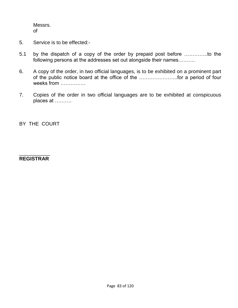Messrs. of

- 5. Service is to be effected:-
- 5.1 by the dispatch of a copy of the order by prepaid post before …………..to the following persons at the addresses set out alongside their names……….
- 6. A copy of the order, in two official languages, is to be exhibited on a prominent part of the public notice board at the office of the …………………..for a period of four weeks from ……………
- 7. Copies of the order in two official languages are to be exhibited at conspicuous places at ……….

BY THE COURT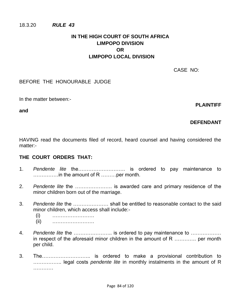#### 18.3.20 *RULE 43*

# **IN THE HIGH COURT OF SOUTH AFRICA LIMPOPO DIVISION OR LIMPOPO LOCAL DIVISION**

CASE NO:

BEFORE THE HONOURABLE JUDGE

In the matter between:-

**and**

### **PLAINTIFF**

## **DEFENDANT**

HAVING read the documents filed of record, heard counsel and having considered the matter:-

#### **THE COURT ORDERS THAT:**

- 1. *Pendente lite* the………………………. is ordered to pay maintenance to ……………in the amount of R ………per month.
- 2. *Pendente lite* the …………………. is awarded care and primary residence of the minor children born out of the marriage.
- 3. *Pendente lite* the ………………… shall be entitled to reasonable contact to the said minor children, which access shall include:-
	- (i) …………………….
	- (ii) …………………….
- 4. *Pendente lite* the ………………….. is ordered to pay maintenance to ……………… in respect of the aforesaid minor children in the amount of R …………. per month per child.
- 3. The……………………….. is ordered to make a provisional contribution to …………….. legal costs *pendente lite* in monthly instalments in the amount of R ……………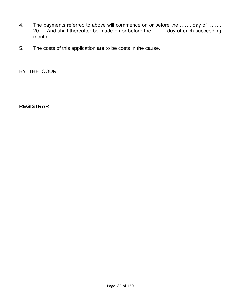- 4. The payments referred to above will commence on or before the ……. day of …….. 20…. And shall thereafter be made on or before the …….. day of each succeeding month.
- 5. The costs of this application are to be costs in the cause.

BY THE COURT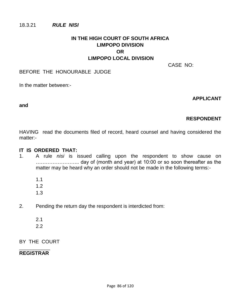#### 18.3.21 *RULE NISI*

## **IN THE HIGH COURT OF SOUTH AFRICA LIMPOPO DIVISION OR LIMPOPO LOCAL DIVISION**

CASE NO:

#### BEFORE THE HONOURABLE JUDGE

In the matter between:-

#### **APPLICANT**

#### **and**

## **RESPONDENT**

HAVING read the documents filed of record, heard counsel and having considered the matter:-

#### **IT IS ORDERED THAT:**

- 1. A rule *nisi* is issued calling upon the respondent to show cause on …………………….. day of (month and year) at 10:00 or so soon thereafter as the matter may be heard why an order should not be made in the following terms:-
	- 1.1
	- 1.2
	- 1.3
- 2. Pending the return day the respondent is interdicted from:
	- 2.1
	- 2.2

BY THE COURT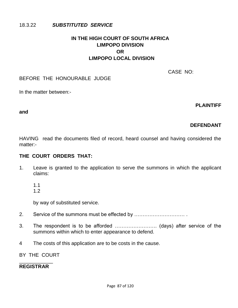### 18.3.22 *SUBSTITUTED SERVICE*

## **IN THE HIGH COURT OF SOUTH AFRICA LIMPOPO DIVISION OR LIMPOPO LOCAL DIVISION**

CASE NO:

#### BEFORE THE HONOURABLE JUDGE

In the matter between:-

**PLAINTIFF** 

#### **and**

## **DEFENDANT**

HAVING read the documents filed of record, heard counsel and having considered the matter:-

### **THE COURT ORDERS THAT:**

- 1. Leave is granted to the application to serve the summons in which the applicant claims:
	- 1.1
	- 1.2

by way of substituted service.

- 2. Service of the summons must be effected by ………………………… .
- 3. The respondent is to be afforded ……………………. (days) after service of the summons within which to enter appearance to defend.
- 4 The costs of this application are to be costs in the cause.
- BY THE COURT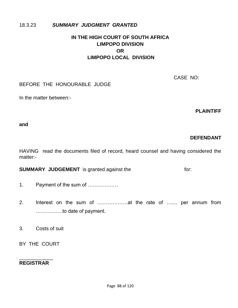## 18.3.23 *SUMMARY JUDGMENT GRANTED*

# **IN THE HIGH COURT OF SOUTH AFRICA LIMPOPO DIVISION OR LIMPOPO LOCAL DIVISION**

CASE NO:

## BEFORE THE HONOURABLE JUDGE

In the matter between:-

**PLAINTIFF** 

#### **and**

# **DEFENDANT**

HAVING read the documents filed of record, heard counsel and having considered the matter:-

**SUMMARY JUDGEMENT** is granted against the for:

- 1. Payment of the sum of ………………
- 2. Interest on the sum of ………………at the rate of ….... per annum from …………….to date of payment.
- 3. Costs of suit
- BY THE COURT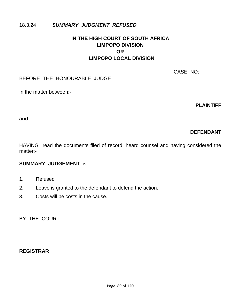### 18.3.24 *SUMMARY JUDGMENT REFUSED*

## **IN THE HIGH COURT OF SOUTH AFRICA LIMPOPO DIVISION OR LIMPOPO LOCAL DIVISION**

CASE NO:

#### BEFORE THE HONOURABLE JUDGE

In the matter between:-

**PLAINTIFF** 

#### **and**

## **DEFENDANT**

HAVING read the documents filed of record, heard counsel and having considered the matter:-

## **SUMMARY JUDGEMENT** is:

- 1. Refused
- 2. Leave is granted to the defendant to defend the action.
- 3. Costs will be costs in the cause.

BY THE COURT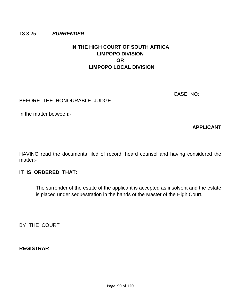#### 18.3.25 *SURRENDER*

# **IN THE HIGH COURT OF SOUTH AFRICA LIMPOPO DIVISION OR LIMPOPO LOCAL DIVISION**

CASE NO:

### BEFORE THE HONOURABLE JUDGE

In the matter between:-

**APPLICANT** 

HAVING read the documents filed of record, heard counsel and having considered the matter:-

### **IT IS ORDERED THAT:**

The surrender of the estate of the applicant is accepted as insolvent and the estate is placed under sequestration in the hands of the Master of the High Court.

BY THE COURT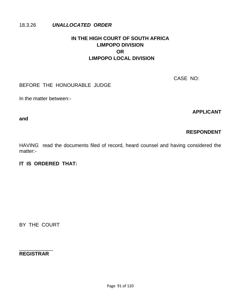#### 18.3.26 *UNALLOCATED ORDER*

# **IN THE HIGH COURT OF SOUTH AFRICA LIMPOPO DIVISION OR LIMPOPO LOCAL DIVISION**

CASE NO:

## BEFORE THE HONOURABLE JUDGE

In the matter between:-

**APPLICANT** 

**and**

## **RESPONDENT**

HAVING read the documents filed of record, heard counsel and having considered the matter:-

## **IT IS ORDERED THAT:**

BY THE COURT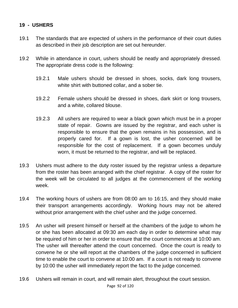## **19 - USHERS**

- 19.1 The standards that are expected of ushers in the performance of their court duties as described in their job description are set out hereunder.
- 19.2 While in attendance in court, ushers should be neatly and appropriately dressed. The appropriate dress code is the following:
	- 19.2.1 Male ushers should be dressed in shoes, socks, dark long trousers, white shirt with buttoned collar, and a sober tie.
	- 19.2.2 Female ushers should be dressed in shoes, dark skirt or long trousers, and a white, collared blouse.
	- 19.2.3 All ushers are required to wear a black gown which must be in a proper state of repair. Gowns are issued by the registrar, and each usher is responsible to ensure that the gown remains in his possession, and is properly cared for. If a gown is lost, the usher concerned will be responsible for the cost of replacement. If a gown becomes unduly worn, it must be returned to the registrar, and will be replaced.
- 19.3 Ushers must adhere to the duty roster issued by the registrar unless a departure from the roster has been arranged with the chief registrar. A copy of the roster for the week will be circulated to all judges at the commencement of the working week.
- 19.4 The working hours of ushers are from 08:00 am to 16:15, and they should make their transport arrangements accordingly. Working hours may not be altered without prior arrangement with the chief usher and the judge concerned.
- 19.5 An usher will present himself or herself at the chambers of the judge to whom he or she has been allocated at 09:30 am each day in order to determine what may be required of him or her in order to ensure that the court commences at 10:00 am. The usher will thereafter attend the court concerned. Once the court is ready to convene he or she will report at the chambers of the judge concerned in sufficient time to enable the court to convene at 10:00 am. If a court is not ready to convene by 10:00 the usher will immediately report the fact to the judge concerned.
- Page 92 of 120 19.6 Ushers will remain in court, and will remain alert, throughout the court session.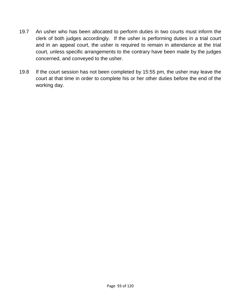- 19.7 An usher who has been allocated to perform duties in two courts must inform the clerk of both judges accordingly. If the usher is performing duties in a trial court and in an appeal court, the usher is required to remain in attendance at the trial court, unless specific arrangements to the contrary have been made by the judges concerned, and conveyed to the usher.
- 19.8 If the court session has not been completed by 15:55 pm, the usher may leave the court at that time in order to complete his or her other duties before the end of the working day.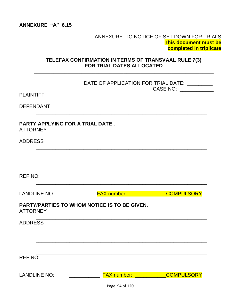### ANNEXURE TO NOTICE OF SET DOWN FOR TRIALS **This document must be** completed in triplicate

## TELEFAX CONFIRMATION IN TERMS OF TRANSVAAL RULE 7(3) FOR TRIAL DATES ALLOCATED

|                                                            |                                              | DATE OF APPLICATION FOR TRIAL DATE: ______                                                                                          |  |
|------------------------------------------------------------|----------------------------------------------|-------------------------------------------------------------------------------------------------------------------------------------|--|
| <b>PLAINTIFF</b>                                           |                                              | CASE NO: ___________                                                                                                                |  |
| <b>DEFENDANT</b>                                           |                                              |                                                                                                                                     |  |
| <b>PARTY APPLYING FOR A TRIAL DATE.</b><br><b>ATTORNEY</b> |                                              |                                                                                                                                     |  |
| <b>ADDRESS</b>                                             |                                              |                                                                                                                                     |  |
|                                                            |                                              |                                                                                                                                     |  |
| <b>REF NO:</b>                                             |                                              |                                                                                                                                     |  |
| <b>LANDLINE NO:</b>                                        | <b>FAX number:</b> _____________COMPULSORY   |                                                                                                                                     |  |
| <b>ATTORNEY</b>                                            | PARTY/PARTIES TO WHOM NOTICE IS TO BE GIVEN. |                                                                                                                                     |  |
| <b>ADDRESS</b>                                             |                                              |                                                                                                                                     |  |
|                                                            |                                              |                                                                                                                                     |  |
| <b>REF NO:</b>                                             |                                              |                                                                                                                                     |  |
|                                                            |                                              |                                                                                                                                     |  |
| <b>LANDLINE NO:</b>                                        | <b>FAX number:</b>                           | <b>COMPULSORY</b><br>and the state of the state of the state of the state of the state of the state of the state of the state of th |  |
|                                                            | Page 94 of 120                               |                                                                                                                                     |  |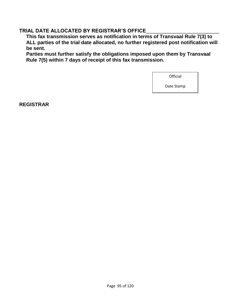## **TRIAL DATE ALLOCATED BY REGISTRAR"S OFFICE**\_\_\_\_\_\_\_\_\_\_\_\_\_\_\_\_\_\_\_\_\_\_\_\_\_\_

**This fax transmission serves as notification in terms of Transvaal Rule 7(3) to ALL parties of the trial date allocated, no further registered post notification will be sent.** 

**Parties must further satisfy the obligations imposed upon them by Transvaal Rule 7(5) within 7 days of receipt of this fax transmission.** 

**Official** 

Date Stamp

**REGISTRAR**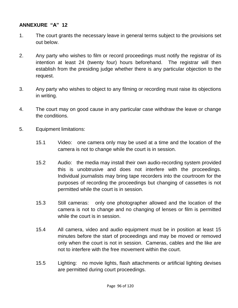### **ANNEXURE "A" 12**

- 1. The court grants the necessary leave in general terms subject to the provisions set out below.
- 2. Any party who wishes to film or record proceedings must notify the registrar of its intention at least 24 (twenty four) hours beforehand. The registrar will then establish from the presiding judge whether there is any particular objection to the request.
- 3. Any party who wishes to object to any filming or recording must raise its objections in writing.
- 4. The court may on good cause in any particular case withdraw the leave or change the conditions.
- 5. Equipment limitations:
	- 15.1 Video: one camera only may be used at a time and the location of the camera is not to change while the court is in session.
	- 15.2 Audio: the media may install their own audio-recording system provided this is unobtrusive and does not interfere with the proceedings. Individual journalists may bring tape recorders into the courtroom for the purposes of recording the proceedings but changing of cassettes is not permitted while the court is in session.
	- 15.3 Still cameras: only one photographer allowed and the location of the camera is not to change and no changing of lenses or film is permitted while the court is in session.
	- 15.4 All camera, video and audio equipment must be in position at least 15 minutes before the start of proceedings and may be moved or removed only when the court is not in session. Cameras, cables and the like are not to interfere with the free movement within the court.
	- 15.5 Lighting: no movie lights, flash attachments or artificial lighting devises are permitted during court proceedings.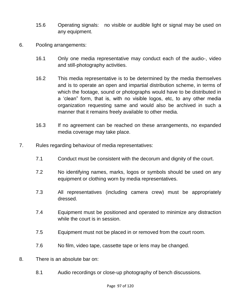- 15.6 Operating signals: no visible or audible light or signal may be used on any equipment.
- 6. Pooling arrangements:
	- 16.1 Only one media representative may conduct each of the audio-, video and still-photography activities.
	- 16.2 This media representative is to be determined by the media themselves and is to operate an open and impartial distribution scheme, in terms of which the footage, sound or photographs would have to be distributed in a "clean" form, that is, with no visible logos, etc, to any other media organization requesting same and would also be archived in such a manner that it remains freely available to other media.
	- 16.3 If no agreement can be reached on these arrangements, no expanded media coverage may take place.
- 7. Rules regarding behaviour of media representatives:
	- 7.1 Conduct must be consistent with the decorum and dignity of the court.
	- 7.2 No identifying names, marks, logos or symbols should be used on any equipment or clothing worn by media representatives.
	- 7.3 All representatives (including camera crew) must be appropriately dressed.
	- 7.4 Equipment must be positioned and operated to minimize any distraction while the court is in session.
	- 7.5 Equipment must not be placed in or removed from the court room.
	- 7.6 No film, video tape, cassette tape or lens may be changed.
- 8. There is an absolute bar on:
	- 8.1 Audio recordings or close-up photography of bench discussions.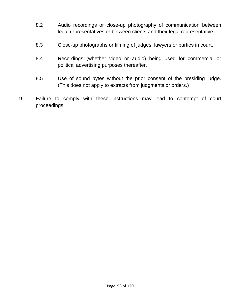- 8.2 Audio recordings or close-up photography of communication between legal representatives or between clients and their legal representative.
- 8.3 Close-up photographs or filming of judges, lawyers or parties in court.
- 8.4 Recordings (whether video or audio) being used for commercial or political advertising purposes thereafter.
- 8.5 Use of sound bytes without the prior consent of the presiding judge. (This does not apply to extracts from judgments or orders.)
- 9. Failure to comply with these instructions may lead to contempt of court proceedings.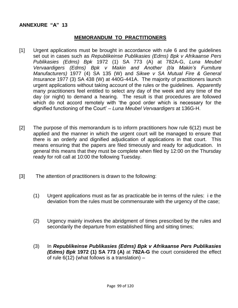#### **ANNEXURE "A" 13**

#### **MEMORANDUM TO PRACTITIONERS**

- [1] Urgent applications must be brought in accordance with rule 6 and the guidelines set out in cases such as *Republikeinse Publikasies (Edms) Bpk v Afrikaanse Pers Publikasies (Edms) Bpk* 1972 (1) SA 773 (A) at 782A-G, *Luna Meubel Vervaardigers (Edms) Bpk v Makin and Another (t/a Makin's Furniture Manufacturers)* 1977 (4) SA 135 (W) and *Sikwe v SA Mutual Fire & General Insurance* 1977 (3) SA 438 (W) at 440G-441A. The majority of practitioners launch urgent applications without taking account of the rules or the guidelines. Apparently many practitioners feel entitled to select any day of the week and any time of the day (or night) to demand a hearing. The result is that procedures are followed which do not accord remotely with "the good order which is necessary for the dignified functioning of the Court" – *Luna Meubel Vervaardigers* at 136G-H.
- [2] The purpose of this memorandum is to inform practitioners how rule 6(12) must be applied and the manner in which the urgent court will be managed to ensure that there is an orderly and dignified adjudication of applications in that court. This means ensuring that the papers are filed timeously and ready for adjudication. In general this means that they must be complete when filed by 12:00 on the Thursday ready for roll call at 10:00 the following Tuesday.
- [3] The attention of practitioners is drawn to the following:
	- (1) Urgent applications must as far as practicable be in terms of the rules: i e the deviation from the rules must be commensurate with the urgency of the case;
	- (2) Urgency mainly involves the abridgment of times prescribed by the rules and secondarily the departure from established filing and sitting times;
	- (3) In *Republikeinse Publikasies (Edms) Bpk v Afrikaanse Pers Publikasies (Edms) Bpk* **1972 (1) SA 773 (A)** at **782A-G** the court considered the effect of rule  $6(12)$  (what follows is a translation) –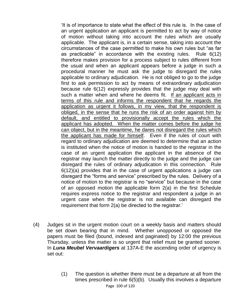"It is of importance to state what the effect of this rule is. In the case of an urgent application an applicant is permitted to act by way of notice of motion without taking into account the rules which are usually applicable. The applicant is, in a certain sense, taking into account the circumstances of the case permitted to make his own rules but "as far as practicable" in accordance with the existing rules. Rule 6(12) therefore makes provision for a process subject to rules different from the usual and when an applicant appears before a judge in such a procedural manner he must ask the judge to disregard the rules applicable to ordinary adjudication. He is not obliged to go to the judge first to ask permission to act by means of extraordinary adjudication because rule 6(12) expressly provides that the judge may deal with such a matter when and where he deems fit. If an applicant acts in terms of this rule and informs the respondent that he regards the application as urgent it follows, in my view, that the respondent is obliged, in the sense that he runs the risk of an order against him by default, and entitled to provisionally accept the rules which the applicant has adopted. When the matter comes before the judge he can object, but in the meantime, he dares not disregard the rules which the applicant has made for himself. Even if the rules of court with regard to ordinary adjudication are deemed to determine that an action is instituted when the notice of motion is handed to the registrar in the case of an urgent application the applicant in the absence of the registrar may launch the matter directly to the judge and the judge can disregard the rules of ordinary adjudication in this connection. Rule 6(12)(a) provides that in the case of urgent applications a judge can disregard the "forms and service" prescribed by the rules. Delivery of a notice of motion to the registrar is no "service" but because in the case of an opposed motion the applicable form 2(a) in the first Schedule requires express notice to the registrar and respondent a judge in an urgent case when the registrar is not available can disregard the requirement that form 2(a) be directed to the registrar."

- (4) Judges sit in the urgent motion court on a weekly basis and matters should be set down bearing that in mind. Whether unopposed or opposed the papers must be filed (bound, indexed and paginated) by 12:00 the previous Thursday, unless the matter is so urgent that relief must be granted sooner. In *Luna Meubel Vervaardigers* at 137A-E the ascending order of urgency is set out:
	- Page 100 of 120 (1) The question is whether there must be a departure at all from the times prescribed in rule 6(5)(b). Usually this involves a departure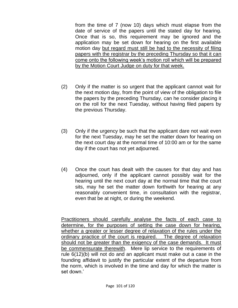from the time of 7 (now 10) days which must elapse from the date of service of the papers until the stated day for hearing. Once that is so, this requirement may be ignored and the application may be set down for hearing on the first available motion day but regard must still be had to the necessity of filing papers with the registrar by the preceding Thursday so that it can come onto the following week"s motion roll which will be prepared by the Motion Court Judge on duty for that week.

- (2) Only if the matter is so urgent that the applicant cannot wait for the next motion day, from the point of view of the obligation to file the papers by the preceding Thursday, can he consider placing it on the roll for the next Tuesday, without having filed papers by the previous Thursday.
- (3) Only if the urgency be such that the applicant dare not wait even for the next Tuesday, may he set the matter down for hearing on the next court day at the normal time of 10:00 am or for the same day if the court has not yet adjourned.
- (4) Once the court has dealt with the causes for that day and has adjourned, only if the applicant cannot possibly wait for the hearing until the next court day at the normal time that the court sits, may he set the matter down forthwith for hearing at any reasonably convenient time, in consultation with the registrar, even that be at night, or during the weekend.

Practitioners should carefully analyse the facts of each case to determine, for the purposes of setting the case down for hearing, whether a greater or lesser degree of relaxation of the rules under the ordinary practice of the court is required. The degree of relaxation should not be greater than the exigency of the case demands. It must be commensurate therewith. Mere lip service to the requirements of rule 6(12)(b) will not do and an applicant must make out a case in the founding affidavit to justify the particular extent of the departure from the norm, which is involved in the time and day for which the matter is set down."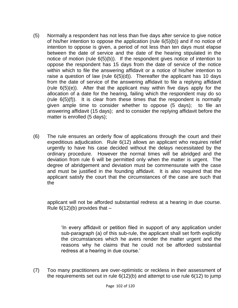- (5) Normally a respondent has not less than five days after service to give notice of his/her intention to oppose the application (rule 6(5)(b)) and if no notice of intention to oppose is given, a period of not less than ten days must elapse between the date of service and the date of the hearing stipulated in the notice of motion (rule 6(5)(b)). If the respondent gives notice of intention to oppose the respondent has 15 days from the date of service of the notice within which to file the answering affidavit or a notice of his/her intention to raise a question of law (rule  $6(5)(d)$ ). Thereafter the applicant has 10 days from the date of service of the answering affidavit to file a replying affidavit (rule 6(5)(e)). After that the applicant may within five days apply for the allocation of a date for the hearing, failing which the respondent may do so (rule 6(5)(f)). It is clear from these times that the respondent is normally given ample time to consider whether to oppose (5 days); to file an answering affidavit (15 days); and to consider the replying affidavit before the matter is enrolled (5 days);
- (6) The rule ensures an orderly flow of applications through the court and their expeditious adjudication. Rule 6(12) allows an applicant who requires relief urgently to have his case decided without the delays necessitated by the ordinary procedure. However the normal times will be abridged and the deviation from rule 6 will be permitted only when the matter is urgent. The degree of abridgement and deviation must be commensurate with the case and must be justified in the founding affidavit. It is also required that the applicant satisfy the court that the circumstances of the case are such that the

applicant will not be afforded substantial redress at a hearing in due course. Rule  $6(12)(b)$  provides that  $-$ 

"In every affidavit or petition filed in support of any application under sub-paragraph (a) of this sub-rule, the applicant shall set forth explicitly the circumstances which he avers render the matter urgent and the reasons why he claims that he could not be afforded substantial redress at a hearing in due course.'

(7) Too many practitioners are over-optimistic or reckless in their assessment of the requirements set out in rule  $6(12)(b)$  and attempt to use rule  $6(12)$  to jump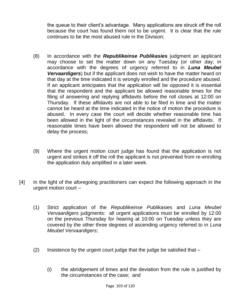the queue to their client"s advantage. Many applications are struck off the roll because the court has found them not to be urgent. It is clear that the rule continues to be the most abused rule in the Division;

- (8) In accordance with the *Republikeinse Publikasies* judgment an applicant may choose to set the matter down on any Tuesday (or other day, in accordance with the degrees of urgency referred to in *Luna Meubel Vervaardigers*) but if the applicant does not wish to have the matter heard on that day at the time indicated it is wrongly enrolled and the procedure abused. If an applicant anticipates that the application will be opposed it is essential that the respondent and the applicant be allowed reasonable times for the filing of answering and replying affidavits before the roll closes at 12:00 on Thursday. If these affidavits are not able to be filed in time and the matter cannot be heard at the time indicated in the notice of motion the procedure is abused. In every case the court will decide whether reasonable time has been allowed in the light of the circumstances revealed in the affidavits. If reasonable times have been allowed the respondent will not be allowed to delay the process;
- (9) Where the urgent motion court judge has found that the application is not urgent and strikes it off the roll the applicant is not prevented from re-enrolling the application duly amplified in a later week.
- [4] In the light of the aforegoing practitioners can expect the following approach in the urgent motion court –
	- (1) Strict application of the *Republikeinse Publikasies* and *Luna Meubel Vervaardigers* judgments: all urgent applications must be enrolled by 12:00 on the previous Thursday for hearing at 10:00 on Tuesday unless they are covered by the other three degrees of ascending urgency referred to in *Luna Meubel Vervaardigers*;
	- (2) Insistence by the urgent court judge that the judge be satisfied that
		- (i) the abridgement of times and the deviation from the rule is justified by the circumstances of the case; and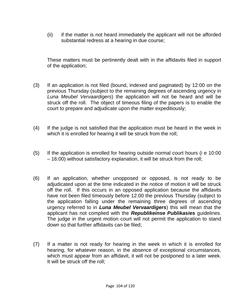(ii) if the matter is not heard immediately the applicant will not be afforded substantial redress at a hearing in due course;

These matters must be pertinently dealt with in the affidavits filed in support of the application;

- (3) If an application is not filed (bound, indexed and paginated) by 12:00 on the previous Thursday (subject to the remaining degrees of ascending urgency in *Luna Meubel Vervaardigers*) the application will not be heard and will be struck off the roll. The object of timeous filing of the papers is to enable the court to prepare and adjudicate upon the matter expeditiously;
- (4) If the judge is not satisfied that the application must be heard in the week in which it is enrolled for hearing it will be struck from the roll;
- (5) If the application is enrolled for hearing outside normal court hours (i e 10:00 – 16:00) without satisfactory explanation, it will be struck from the roll;
- (6) If an application, whether unopposed or opposed, is not ready to be adjudicated upon at the time indicated in the notice of motion it will be struck off the roll. If this occurs in an opposed application because the affidavits have not been filed timeously before 12:00 the previous Thursday (subject to the application falling under the remaining three degrees of ascending urgency referred to in *Luna Meubel Vervaardigers*) this will mean that the applicant has not complied with the *Republikeinse Publikasies* guidelines. The judge in the urgent motion court will not permit the application to stand down so that further affidavits can be filed;
- (7) If a matter is not ready for hearing in the week in which it is enrolled for hearing, for whatever reason, in the absence of exceptional circumstances, which must appear from an affidavit, it will not be postponed to a later week. It will be struck off the roll;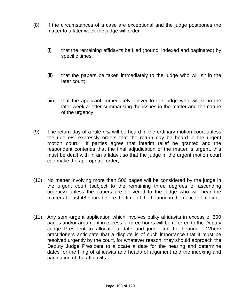- (8) If the circumstances of a case are exceptional and the judge postpones the matter to a later week the judge will order –
	- (i) that the remaining affidavits be filed (bound, indexed and paginated) by specific times;
	- (ii) that the papers be taken immediately to the judge who will sit in the later court;
	- (iii) that the applicant immediately deliver to the judge who will sit in the later week a letter summarising the issues in the matter and the nature of the urgency.
- (9) The return day of a rule *nisi* will be heard in the ordinary motion court unless the rule *nisi* expressly orders that the return day be heard in the urgent motion court. If parties agree that interim relief be granted and the respondent contends that the final adjudication of the matter is urgent, this must be dealt with in an affidavit so that the judge in the urgent motion court can make the appropriate order;
- (10) No matter involving more than 500 pages will be considered by the judge in the urgent court (subject to the remaining three degrees of ascending urgency) unless the papers are delivered to the judge who will hear the matter at least 48 hours before the time of the hearing in the notice of motion;
- (11) Any semi-urgent application which involves bulky affidavits in excess of 500 pages and/or argument in excess of three hours will be referred to the Deputy Judge President to allocate a date and judge for the hearing. Where practitioners anticipate that a dispute is of such importance that it must be resolved urgently by the court, for whatever reason, they should approach the Deputy Judge President to allocate a date for the hearing and determine dates for the filing of affidavits and heads of argument and the indexing and pagination of the affidavits.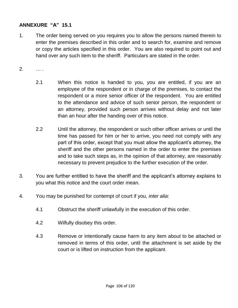### **ANNEXURE "A" 15.1**

- 1. The order being served on you requires you to allow the persons named therein to enter the premises described in this order and to search for, examine and remove or copy the articles specified in this order. You are also required to point out and hand over any such item to the sheriff. Particulars are stated in the order.
- 2. … .
	- 2.1 When this notice is handed to you, you are entitled, if you are an employee of the respondent or in charge of the premises, to contact the respondent or a more senior officer of the respondent. You are entitled to the attendance and advice of such senior person, the respondent or an attorney, provided such person arrives without delay and not later than an hour after the handing over of this notice.
	- 2.2 Until the attorney, the respondent or such other officer arrives or until the time has passed for him or her to arrive, you need not comply with any part of this order, except that you must allow the applicant"s attorney, the sheriff and the other persons named in the order to enter the premises and to take such steps as, in the opinion of that attorney, are reasonably necessary to prevent prejudice to the further execution of the order.
- 3. You are further entitled to have the sheriff and the applicant"s attorney explains to you what this notice and the court order mean.
- 4. You may be punished for contempt of court if you, *inter alia*:
	- 4.1 Obstruct the sheriff unlawfully in the execution of this order.
	- 4.2 Wilfully disobey this order.
	- 4.3 Remove or intentionally cause harm to any item about to be attached or removed in terms of this order, until the attachment is set aside by the court or is lifted on instruction from the applicant.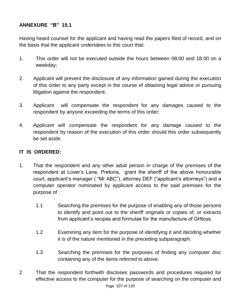## **ANNEXURE "B" 15.1**

Having heard counsel for the applicant and having read the papers filed of record, and on the basis that the applicant undertakes to this court that:

- 1. This order will not be executed outside the hours between 08:00 and 18:00 on a weekday;
- 2. Applicant will prevent the disclosure of any information gained during the execution of this order to any party except in the course of obtaining legal advice or pursuing litigation against the respondent;
- 3. Applicant will compensate the respondent for any damages caused to the respondent by anyone exceeding the terms of this order;
- 4. Applicant will compensate the respondent for any damage caused to the respondent by reason of the execution of this order should this order subsequently be set aside.

#### **IT IS ORDERED:**

- 1. That the respondent and any other adult person in charge of the premises of the respondent at Lover"s Lane, Pretoria, grant the sheriff of the above honourable court, applicant's manager ("Mr ABC"), attorney DEF ("applicant's attorneys") and a computer operator nominated by applicant access to the said premises for the purpose of :
	- 1.1 Searching the premises for the purpose of enabling any of those persons to identify and point out to the sheriff originals or copies of, or extracts from applicant"s recipes and formulae for the manufacture of GHtoys.
	- 1.2 Examining any item for the purpose of identifying it and deciding whether it is of the nature mentioned in the preceding subparagraph.
	- 1.3 Searching the premises for the purposes of finding any computer disc containing any of the items referred to above.
- Page 107 of 120 2. That the respondent forthwith discloses passwords and procedures required for effective access to the computer for the purpose of searching on the computer and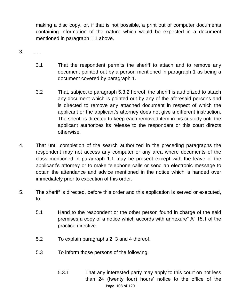making a disc copy, or, if that is not possible, a print out of computer documents containing information of the nature which would be expected in a document mentioned in paragraph 1.1 above.

- 3. … .
	- 3.1 That the respondent permits the sheriff to attach and to remove any document pointed out by a person mentioned in paragraph 1 as being a document covered by paragraph 1.
	- 3.2 That, subject to paragraph 5.3.2 hereof, the sheriff is authorized to attach any document which is pointed out by any of the aforesaid persons and is directed to remove any attached document in respect of which the applicant or the applicant"s attorney does not give a different instruction. The sheriff is directed to keep each removed item in his custody until the applicant authorizes its release to the respondent or this court directs otherwise.
- 4. That until completion of the search authorized in the preceding paragraphs the respondent may not access any computer or any area where documents of the class mentioned in paragraph 1.1 may be present except with the leave of the applicant"s attorney or to make telephone calls or send an electronic message to obtain the attendance and advice mentioned in the notice which is handed over immediately prior to execution of this order.
- 5. The sheriff is directed, before this order and this application is served or executed, to:
	- 5.1 Hand to the respondent or the other person found in charge of the said premises a copy of a notice which accords with annexure" A" 15.1 of the practice directive.
	- 5.2 To explain paragraphs 2, 3 and 4 thereof.
	- 5.3 To inform those persons of the following:
		- Page 108 of 120 5.3.1 That any interested party may apply to this court on not less than 24 (twenty four) hours" notice to the office of the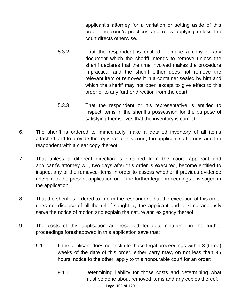applicant"s attorney for a variation or setting aside of this order, the court"s practices and rules applying unless the court directs otherwise.

- 5.3.2 That the respondent is entitled to make a copy of any document which the sheriff intends to remove unless the sheriff declares that the time involved makes the procedure impractical and the sheriff either does not remove the relevant item or removes it in a container sealed by him and which the sheriff may not open except to give effect to this order or to any further direction from the court.
- 5.3.3 That the respondent or his representative is entitled to inspect items in the sheriff"s possession for the purpose of satisfying themselves that the inventory is correct.
- 6. The sheriff is ordered to immediately make a detailed inventory of all items attached and to provide the registrar of this court, the applicant"s attorney, and the respondent with a clear copy thereof.
- 7. That unless a different direction is obtained from the court, applicant and applicant"s attorney will, two days after this order is executed, become entitled to inspect any of the removed items in order to assess whether it provides evidence relevant to the present application or to the further legal proceedings envisaged in the application.
- 8. That the sheriff is ordered to inform the respondent that the execution of this order does not dispose of all the relief sought by the applicant and to simultaneously serve the notice of motion and explain the nature and exigency thereof.
- 9. The costs of this application are reserved for determination in the further proceedings foreshadowed in this application save that:
	- 9.1 If the applicant does not institute those legal proceedings within 3 (three) weeks of the date of this order, either party may, on not less than 96 hours' notice to the other, apply to this honourable court for an order:
		- Page 109 of 120 9.1.1 Determining liability for those costs and determining what must be done about removed items and any copies thereof.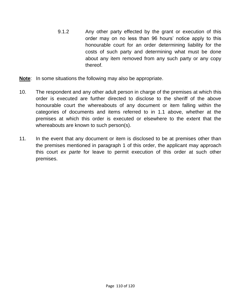- 9.1.2 Any other party effected by the grant or execution of this order may on no less than 96 hours" notice apply to this honourable court for an order determining liability for the costs of such party and determining what must be done about any item removed from any such party or any copy thereof.
- **Note**: In some situations the following may also be appropriate.
- 10. The respondent and any other adult person in charge of the premises at which this order is executed are further directed to disclose to the sheriff of the above honourable court the whereabouts of any document or item falling within the categories of documents and items referred to in 1.1 above, whether at the premises at which this order is executed or elsewhere to the extent that the whereabouts are known to such person(s).
- 11. In the event that any document or item is disclosed to be at premises other than the premises mentioned in paragraph 1 of this order, the applicant may approach this court *ex parte* for leave to permit execution of this order at such other premises.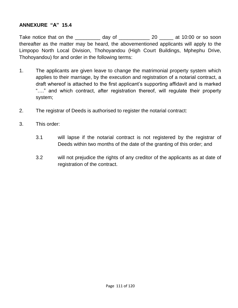#### **ANNEXURE "A" 15.4**

Take notice that on the day of a case of the solution of the solution of the solution of the solution of the t thereafter as the matter may be heard, the abovementioned applicants will apply to the Limpopo North Local Division, Thohoyandou (High Court Buildings, Mphephu Drive, Thohoyandou) for and order in the following terms:

- 1. The applicants are given leave to change the matrimonial property system which applies to their marriage, by the execution and registration of a notarial contract, a draft whereof is attached to the first applicant"s supporting affidavit and is marked "…." and which contract, after registration thereof, will regulate their property system;
- 2. The registrar of Deeds is authorised to register the notarial contract:
- 3. This order:
	- 3.1 will lapse if the notarial contract is not registered by the registrar of Deeds within two months of the date of the granting of this order; and
	- 3.2 will not prejudice the rights of any creditor of the applicants as at date of registration of the contract.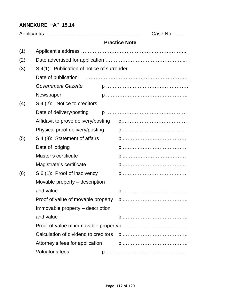# **ANNEXURE "A" 15.14**

|     |                                            | Case No: |                      |  |
|-----|--------------------------------------------|----------|----------------------|--|
|     |                                            |          | <b>Practice Note</b> |  |
| (1) |                                            |          |                      |  |
| (2) |                                            |          |                      |  |
| (3) | S 4(1): Publication of notice of surrender |          |                      |  |
|     |                                            |          |                      |  |
|     | <b>Government Gazette</b>                  |          |                      |  |
|     | Newspaper                                  |          |                      |  |
| (4) | S 4 (2): Notice to creditors               |          |                      |  |
|     | Date of delivery/posting                   |          |                      |  |
|     | Affidavit to prove delivery/posting        |          |                      |  |
|     | Physical proof delivery/posting            |          |                      |  |
| (5) | S 4 (3): Statement of affairs              |          |                      |  |
|     | Date of lodging                            |          |                      |  |
|     | Master's certificate                       |          |                      |  |
|     | Magistrate's certificate                   |          |                      |  |
| (6) | S 6 (1): Proof of insolvency               |          |                      |  |
|     | Movable property – description             |          |                      |  |
|     | and value                                  |          |                      |  |
|     | Proof of value of movable property         |          |                      |  |
|     | Immovable property – description           |          |                      |  |
|     | and value                                  |          |                      |  |
|     |                                            |          |                      |  |
|     | Calculation of dividend to creditors       |          |                      |  |
|     | Attorney's fees for application            |          |                      |  |
|     | Valuator's fees                            |          |                      |  |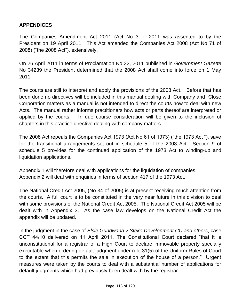## **APPENDICES**

The Companies Amendment Act 2011 (Act No 3 of 2011 was assented to by the President on 19 April 2011. This Act amended the Companies Act 2008 (Act No 71 of 2008) ("the 2008 Act"), extensively.

On 26 April 2011 in terms of Proclamation No 32, 2011 published in *Government Gazette* No 34239 the President determined that the 2008 Act shall come into force on 1 May 2011.

The courts are still to interpret and apply the provisions of the 2008 Act. Before that has been done no directives will be included in this manual dealing with Company and Close Corporation matters as a manual is not intended to direct the courts how to deal with new Acts. The manual rather informs practitioners how acts or parts thereof are interpreted or applied by the courts. In due course consideration will be given to the inclusion of chapters in this practice directive dealing with company matters.

The 2008 Act repeals the Companies Act 1973 (Act No 61 of 1973) ("the 1973 Act "), save for the transitional arrangements set out in schedule 5 of the 2008 Act. Section 9 of schedule 5 provides for the continued application of the 1973 Act to winding-up and liquidation applications.

Appendix 1 will therefore deal with applications for the liquidation of companies. Appendix 2 will deal with enquiries in terms of section 417 of the 1973 Act.

The National Credit Act 2005, (No 34 of 2005) is at present receiving much attention from the courts. A full court is to be constituted in the very near future in this division to deal with some provisions of the National Credit Act 2005. The National Credit Act 2005 will be dealt with in Appendix 3. As the case law develops on the National Credit Act the appendix will be updated.

In the judgment in the case of *Elsie Gundwana v Steko Development CC and others*, case CCT 44/10 delivered on 11 April 2011, The Constitutional Court declared "that it is unconstitutional for a registrar of a High Court to declare immovable property specially executable when ordering default judgment under rule 31(5) of the Uniform Rules of Court to the extent that this permits the sale in execution of the house of a person." Urgent measures were taken by the courts to deal with a substantial number of applications for default judgments which had previously been dealt with by the registrar.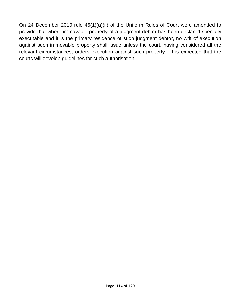On 24 December 2010 rule 46(1)(a)(ii) of the Uniform Rules of Court were amended to provide that where immovable property of a judgment debtor has been declared specially executable and it is the primary residence of such judgment debtor, no writ of execution against such immovable property shall issue unless the court, having considered all the relevant circumstances, orders execution against such property. It is expected that the courts will develop guidelines for such authorisation.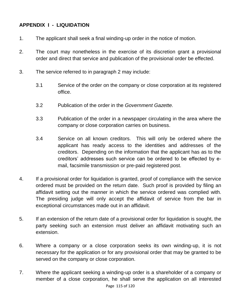## **APPENDIX I - LIQUIDATION**

- 1. The applicant shall seek a final winding-up order in the notice of motion.
- 2. The court may nonetheless in the exercise of its discretion grant a provisional order and direct that service and publication of the provisional order be effected.
- 3. The service referred to in paragraph 2 may include:
	- 3.1 Service of the order on the company or close corporation at its registered office.
	- 3.2 Publication of the order in the *Government Gazette.*
	- 3.3 Publication of the order in a newspaper circulating in the area where the company or close corporation carries on business.
	- 3.4 Service on all known creditors. This will only be ordered where the applicant has ready access to the identities and addresses of the creditors. Depending on the information that the applicant has as to the creditors" addresses such service can be ordered to be effected by email, facsimile transmission or pre-paid registered post.
- 4. If a provisional order for liquidation is granted, proof of compliance with the service ordered must be provided on the return date. Such proof is provided by filing an affidavit setting out the manner in which the service ordered was complied with. The presiding judge will only accept the affidavit of service from the bar in exceptional circumstances made out in an affidavit.
- 5. If an extension of the return date of a provisional order for liquidation is sought, the party seeking such an extension must deliver an affidavit motivating such an extension.
- 6. Where a company or a close corporation seeks its own winding-up, it is not necessary for the application or for any provisional order that may be granted to be served on the company or close corporation.
- Page 115 of 120 7. Where the applicant seeking a winding-up order is a shareholder of a company or member of a close corporation, he shall serve the application on all interested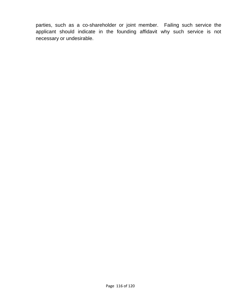parties, such as a co-shareholder or joint member. Failing such service the applicant should indicate in the founding affidavit why such service is not necessary or undesirable.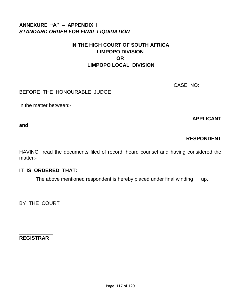# **ANNEXURE "A" – APPENDIX I**  *STANDARD ORDER FOR FINAL LIQUIDATION*

# **IN THE HIGH COURT OF SOUTH AFRICA LIMPOPO DIVISION OR LIMPOPO LOCAL DIVISION**

CASE NO:

## BEFORE THE HONOURABLE JUDGE

In the matter between:-

**APPLICANT** 

**and**

# **RESPONDENT**

HAVING read the documents filed of record, heard counsel and having considered the matter:-

## **IT IS ORDERED THAT:**

The above mentioned respondent is hereby placed under final winding up.

BY THE COURT

\_\_\_\_\_\_\_\_\_\_\_\_ **REGISTRAR**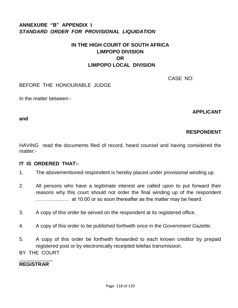# **ANNEXURE "B" APPENDIX I** *STANDARD ORDER FOR PROVISIONAL LIQUIDATION*

# **IN THE HIGH COURT OF SOUTH AFRICA LIMPOPO DIVISION OR LIMPOPO LOCAL DIVISION**

CASE NO:

#### BEFORE THE HONOURABLE JUDGE

In the matter between:-

**APPLICANT** 

**and**

# **RESPONDENT**

HAVING read the documents filed of record, heard counsel and having considered the matter:-

## **IT IS ORDERED THAT:-**

- 1. The abovementioned respondent is hereby placed under provisional winding up.
- 2. All persons who have a legitimate interest are called upon to put forward their reasons why this court should not order the final winding up of the respondent ……………….. at 10:00 or so soon thereafter as the matter may be heard.
- 3. A copy of this order be served on the respondent at its registered office.
- 4. A copy of this order to be published forthwith once in the *Government Gazette*.
- 5. A copy of this order be forthwith forwarded to each known creditor by prepaid registered post or by electronically receipted telefax transmission.
- BY THE COURT

#### \_\_\_\_\_\_\_\_\_\_\_\_ **REGISTRAR**